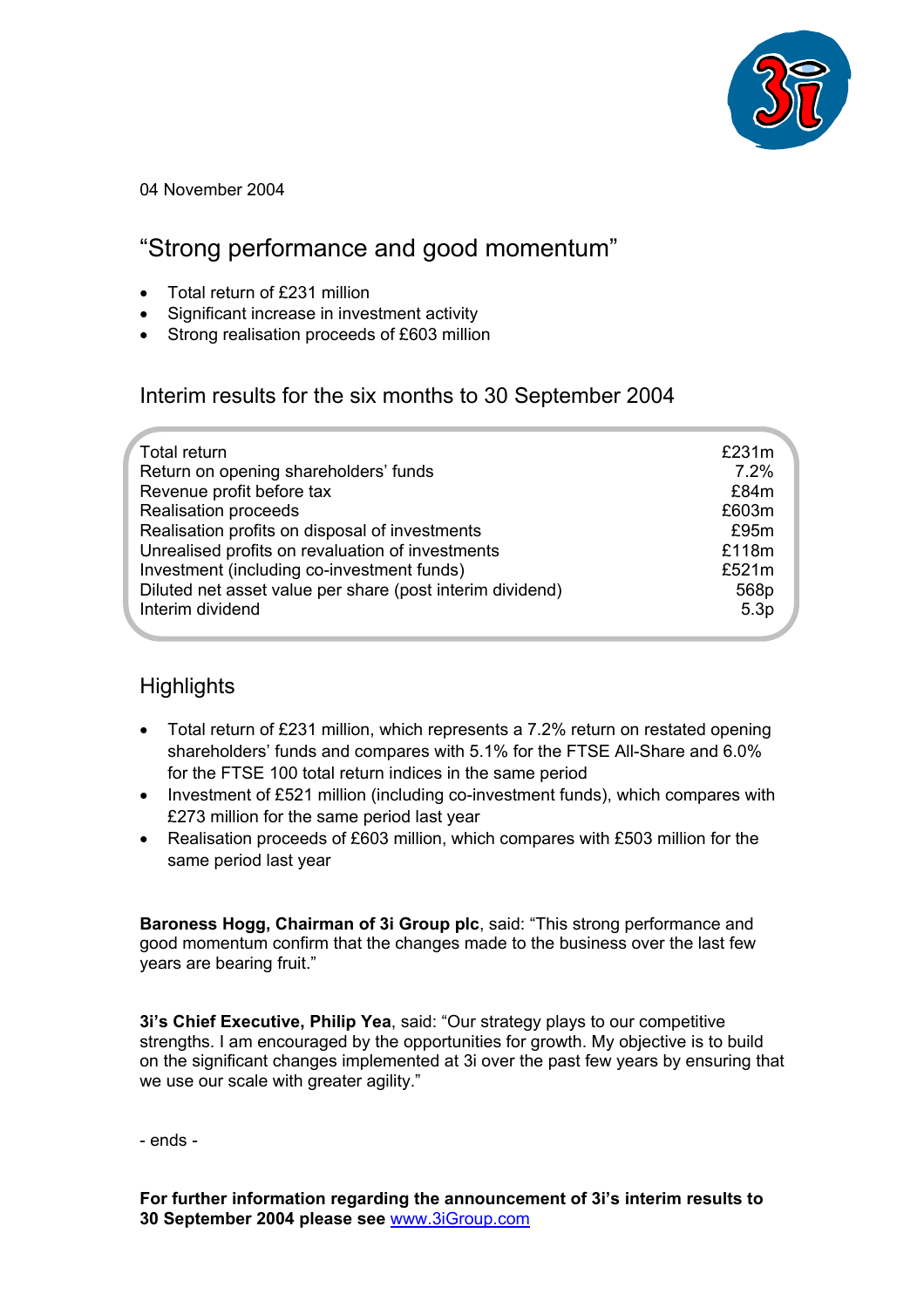

04 November 2004

# "Strong performance and good momentum"

- Total return of £231 million
- Significant increase in investment activity
- Strong realisation proceeds of £603 million

Interim results for the six months to 30 September 2004

| Total return                                              | £231m            |
|-----------------------------------------------------------|------------------|
| Return on opening shareholders' funds                     | 7.2%             |
| Revenue profit before tax                                 | £84m             |
| <b>Realisation proceeds</b>                               | £603m            |
| Realisation profits on disposal of investments            | £95m             |
| Unrealised profits on revaluation of investments          | £118m            |
| Investment (including co-investment funds)                | £521m            |
| Diluted net asset value per share (post interim dividend) | 568p             |
| Interim dividend                                          | 5.3 <sub>p</sub> |
|                                                           |                  |

# **Highlights**

- Total return of £231 million, which represents a 7.2% return on restated opening shareholders' funds and compares with 5.1% for the FTSE All-Share and 6.0% for the FTSE 100 total return indices in the same period
- Investment of £521 million (including co-investment funds), which compares with £273 million for the same period last year
- Realisation proceeds of £603 million, which compares with £503 million for the same period last year

**Baroness Hogg, Chairman of 3i Group plc**, said: "This strong performance and good momentum confirm that the changes made to the business over the last few years are bearing fruit."

**3i's Chief Executive, Philip Yea**, said: "Our strategy plays to our competitive strengths. I am encouraged by the opportunities for growth. My objective is to build on the significant changes implemented at 3i over the past few years by ensuring that we use our scale with greater agility."

- ends -

**For further information regarding the announcement of 3i's interim results to 30 September 2004 please see** [www.3iGroup.com](http://www.3igroup.com/)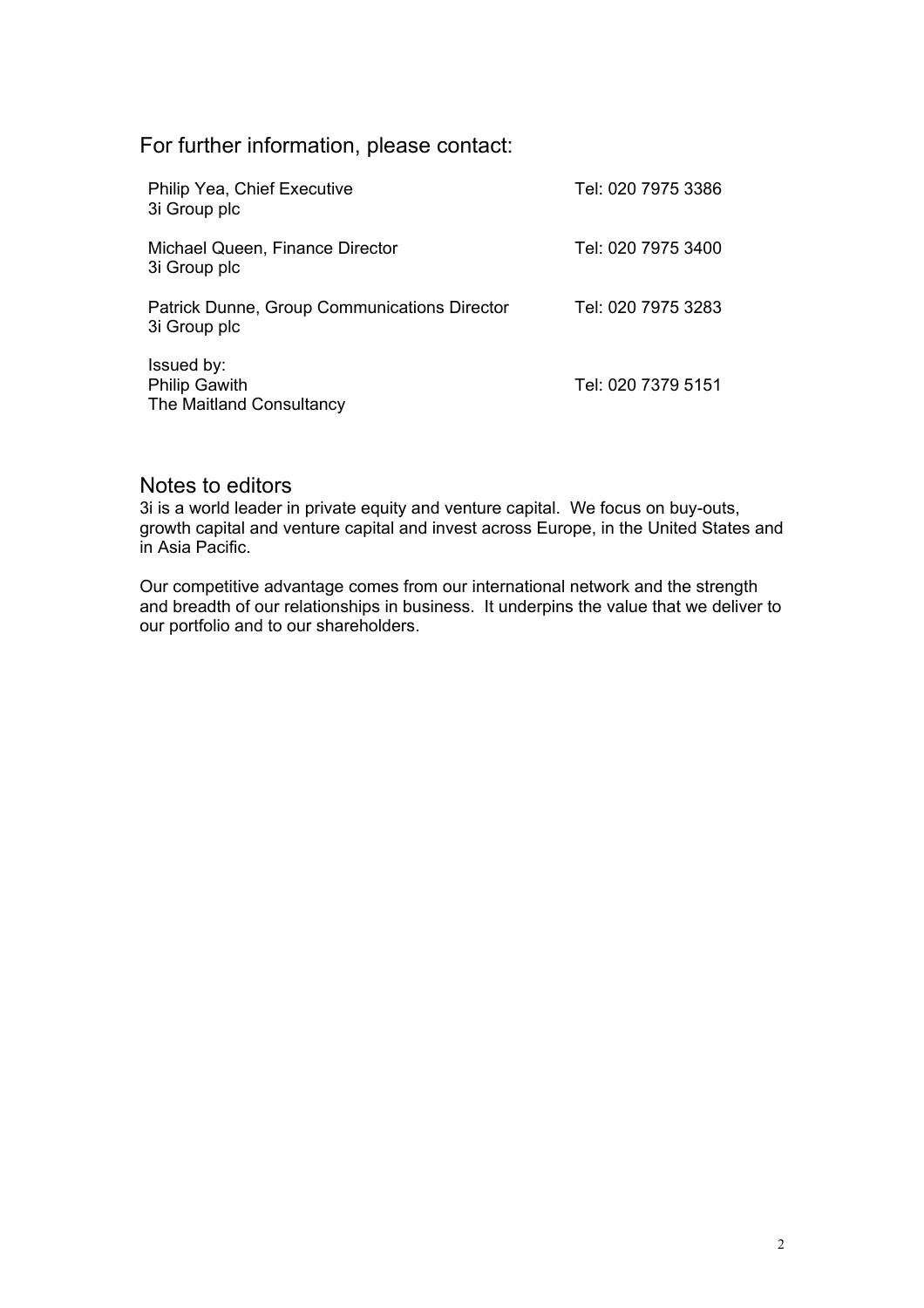For further information, please contact:

| Philip Yea, Chief Executive<br>3i Group plc                    | Tel: 020 7975 3386 |
|----------------------------------------------------------------|--------------------|
| Michael Queen, Finance Director<br>3i Group plc                | Tel: 020 7975 3400 |
| Patrick Dunne, Group Communications Director<br>3i Group plc   | Tel: 020 7975 3283 |
| Issued by:<br><b>Philip Gawith</b><br>The Maitland Consultancy | Tel: 020 7379 5151 |

### Notes to editors

3i is a world leader in private equity and venture capital. We focus on buy-outs, growth capital and venture capital and invest across Europe, in the United States and in Asia Pacific.

Our competitive advantage comes from our international network and the strength and breadth of our relationships in business. It underpins the value that we deliver to our portfolio and to our shareholders.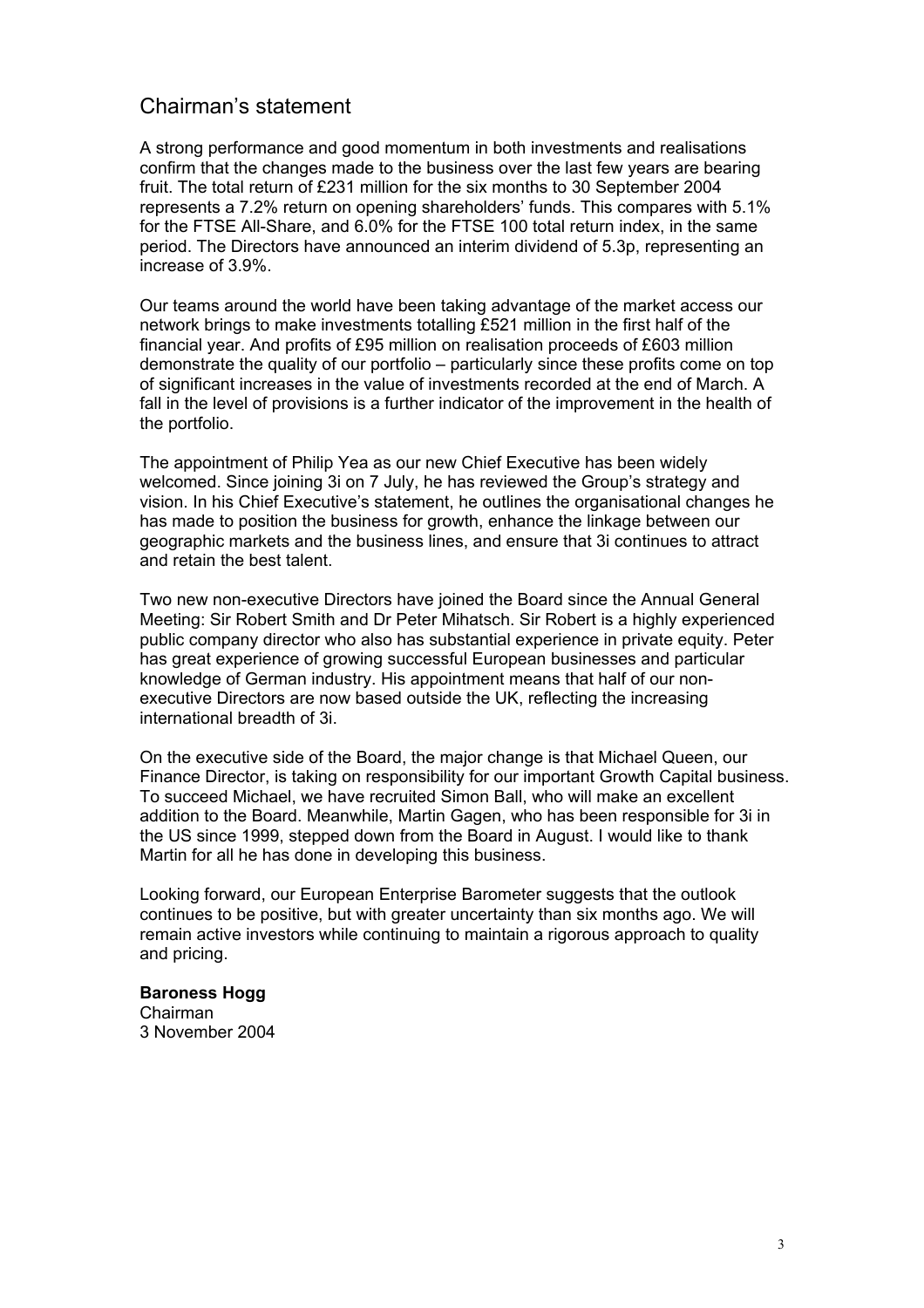### Chairman's statement

A strong performance and good momentum in both investments and realisations confirm that the changes made to the business over the last few years are bearing fruit. The total return of £231 million for the six months to 30 September 2004 represents a 7.2% return on opening shareholders' funds. This compares with 5.1% for the FTSE All-Share, and 6.0% for the FTSE 100 total return index, in the same period. The Directors have announced an interim dividend of 5.3p, representing an increase of 3.9%.

Our teams around the world have been taking advantage of the market access our network brings to make investments totalling £521 million in the first half of the financial year. And profits of £95 million on realisation proceeds of £603 million demonstrate the quality of our portfolio – particularly since these profits come on top of significant increases in the value of investments recorded at the end of March. A fall in the level of provisions is a further indicator of the improvement in the health of the portfolio.

The appointment of Philip Yea as our new Chief Executive has been widely welcomed. Since joining 3i on 7 July, he has reviewed the Group's strategy and vision. In his Chief Executive's statement, he outlines the organisational changes he has made to position the business for growth, enhance the linkage between our geographic markets and the business lines, and ensure that 3i continues to attract and retain the best talent.

Two new non-executive Directors have joined the Board since the Annual General Meeting: Sir Robert Smith and Dr Peter Mihatsch. Sir Robert is a highly experienced public company director who also has substantial experience in private equity. Peter has great experience of growing successful European businesses and particular knowledge of German industry. His appointment means that half of our nonexecutive Directors are now based outside the UK, reflecting the increasing international breadth of 3i.

On the executive side of the Board, the major change is that Michael Queen, our Finance Director, is taking on responsibility for our important Growth Capital business. To succeed Michael, we have recruited Simon Ball, who will make an excellent addition to the Board. Meanwhile, Martin Gagen, who has been responsible for 3i in the US since 1999, stepped down from the Board in August. I would like to thank Martin for all he has done in developing this business.

Looking forward, our European Enterprise Barometer suggests that the outlook continues to be positive, but with greater uncertainty than six months ago. We will remain active investors while continuing to maintain a rigorous approach to quality and pricing.

# **Baroness Hogg**

Chairman 3 November 2004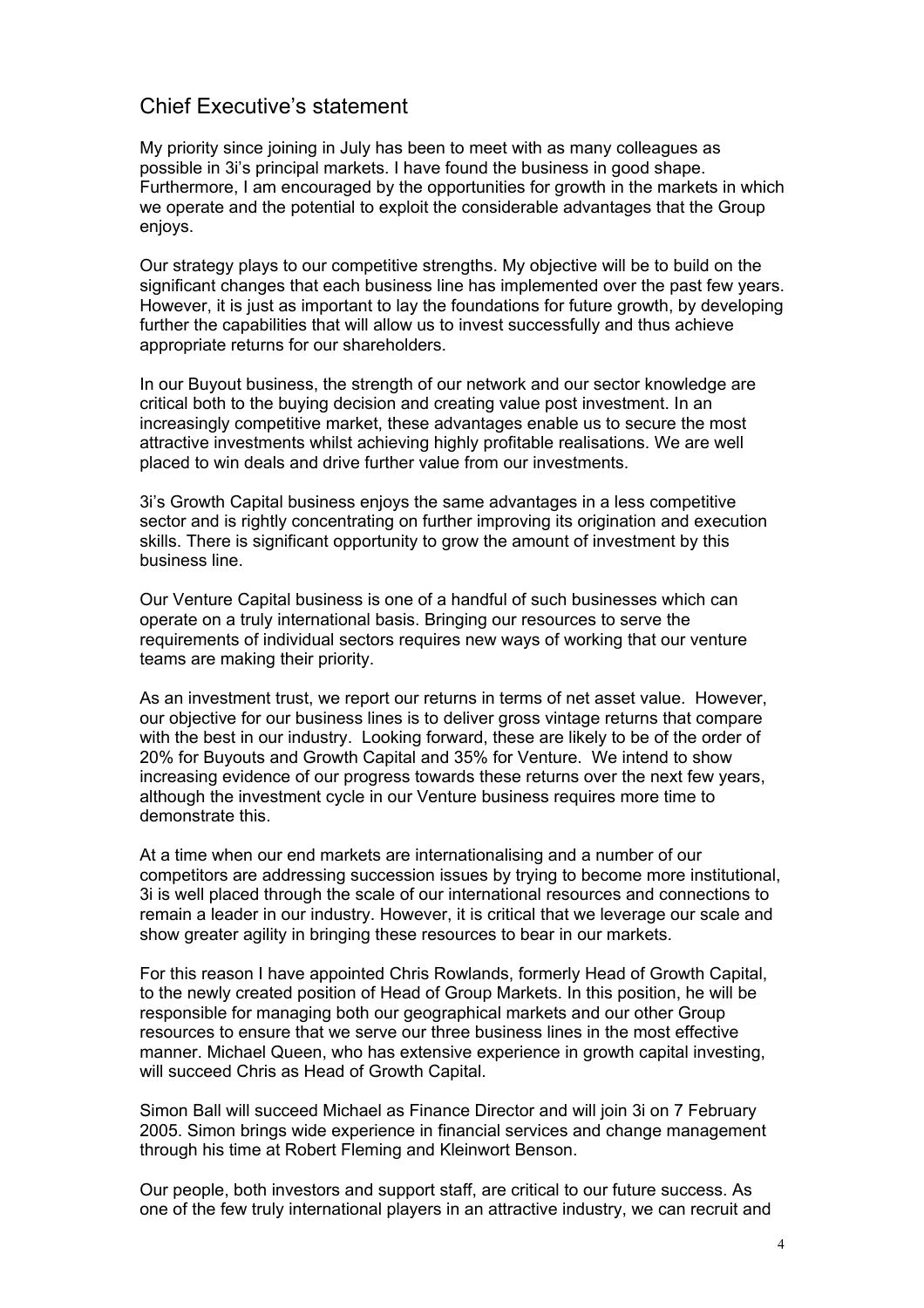### Chief Executive's statement

My priority since joining in July has been to meet with as many colleagues as possible in 3i's principal markets. I have found the business in good shape. Furthermore, I am encouraged by the opportunities for growth in the markets in which we operate and the potential to exploit the considerable advantages that the Group enjoys.

Our strategy plays to our competitive strengths. My objective will be to build on the significant changes that each business line has implemented over the past few years. However, it is just as important to lay the foundations for future growth, by developing further the capabilities that will allow us to invest successfully and thus achieve appropriate returns for our shareholders.

In our Buyout business, the strength of our network and our sector knowledge are critical both to the buying decision and creating value post investment. In an increasingly competitive market, these advantages enable us to secure the most attractive investments whilst achieving highly profitable realisations. We are well placed to win deals and drive further value from our investments.

3i's Growth Capital business enjoys the same advantages in a less competitive sector and is rightly concentrating on further improving its origination and execution skills. There is significant opportunity to grow the amount of investment by this business line.

Our Venture Capital business is one of a handful of such businesses which can operate on a truly international basis. Bringing our resources to serve the requirements of individual sectors requires new ways of working that our venture teams are making their priority.

As an investment trust, we report our returns in terms of net asset value. However, our objective for our business lines is to deliver gross vintage returns that compare with the best in our industry. Looking forward, these are likely to be of the order of 20% for Buyouts and Growth Capital and 35% for Venture. We intend to show increasing evidence of our progress towards these returns over the next few years, although the investment cycle in our Venture business requires more time to demonstrate this.

At a time when our end markets are internationalising and a number of our competitors are addressing succession issues by trying to become more institutional, 3i is well placed through the scale of our international resources and connections to remain a leader in our industry. However, it is critical that we leverage our scale and show greater agility in bringing these resources to bear in our markets.

For this reason I have appointed Chris Rowlands, formerly Head of Growth Capital, to the newly created position of Head of Group Markets. In this position, he will be responsible for managing both our geographical markets and our other Group resources to ensure that we serve our three business lines in the most effective manner. Michael Queen, who has extensive experience in growth capital investing, will succeed Chris as Head of Growth Capital.

Simon Ball will succeed Michael as Finance Director and will join 3i on 7 February 2005. Simon brings wide experience in financial services and change management through his time at Robert Fleming and Kleinwort Benson.

Our people, both investors and support staff, are critical to our future success. As one of the few truly international players in an attractive industry, we can recruit and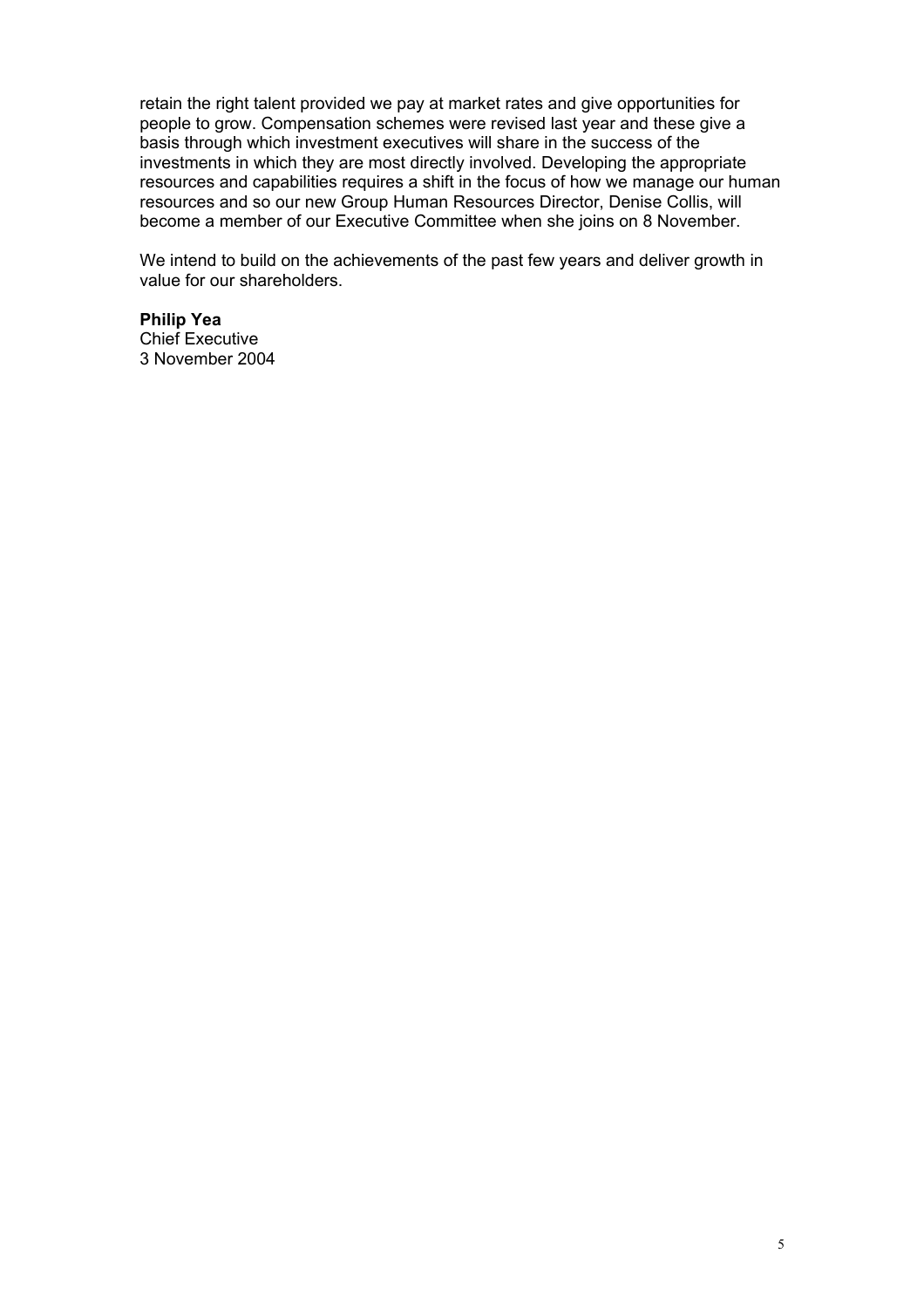retain the right talent provided we pay at market rates and give opportunities for people to grow. Compensation schemes were revised last year and these give a basis through which investment executives will share in the success of the investments in which they are most directly involved. Developing the appropriate resources and capabilities requires a shift in the focus of how we manage our human resources and so our new Group Human Resources Director, Denise Collis, will become a member of our Executive Committee when she joins on 8 November.

We intend to build on the achievements of the past few years and deliver growth in value for our shareholders.

## **Philip Yea**

Chief Executive 3 November 2004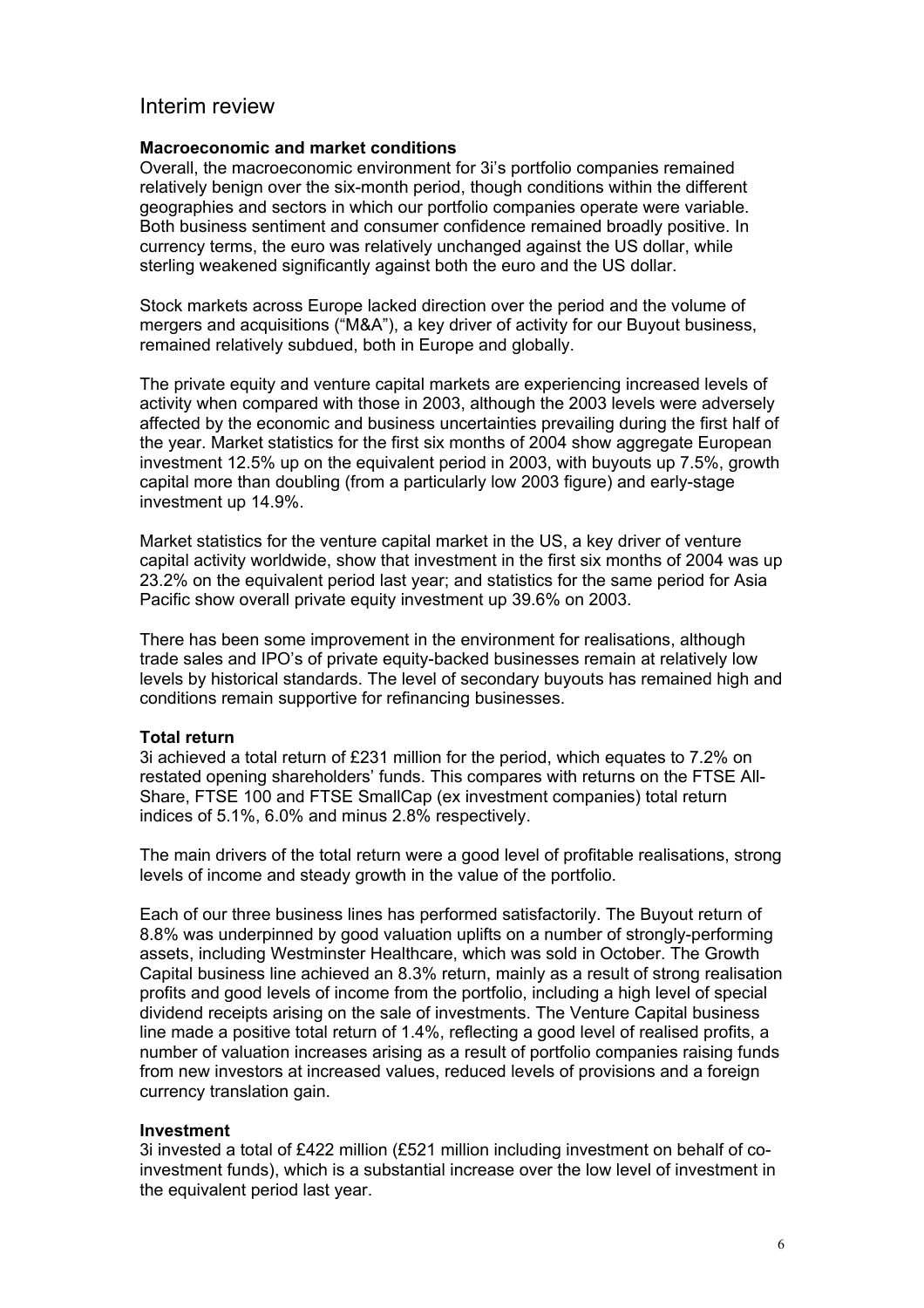### Interim review

#### **Macroeconomic and market conditions**

Overall, the macroeconomic environment for 3i's portfolio companies remained relatively benign over the six-month period, though conditions within the different geographies and sectors in which our portfolio companies operate were variable. Both business sentiment and consumer confidence remained broadly positive. In currency terms, the euro was relatively unchanged against the US dollar, while sterling weakened significantly against both the euro and the US dollar.

Stock markets across Europe lacked direction over the period and the volume of mergers and acquisitions ("M&A"), a key driver of activity for our Buyout business, remained relatively subdued, both in Europe and globally.

The private equity and venture capital markets are experiencing increased levels of activity when compared with those in 2003, although the 2003 levels were adversely affected by the economic and business uncertainties prevailing during the first half of the year. Market statistics for the first six months of 2004 show aggregate European investment 12.5% up on the equivalent period in 2003, with buyouts up 7.5%, growth capital more than doubling (from a particularly low 2003 figure) and early-stage investment up 14.9%.

Market statistics for the venture capital market in the US, a key driver of venture capital activity worldwide, show that investment in the first six months of 2004 was up 23.2% on the equivalent period last year; and statistics for the same period for Asia Pacific show overall private equity investment up 39.6% on 2003.

There has been some improvement in the environment for realisations, although trade sales and IPO's of private equity-backed businesses remain at relatively low levels by historical standards. The level of secondary buyouts has remained high and conditions remain supportive for refinancing businesses.

#### **Total return**

3i achieved a total return of £231 million for the period, which equates to 7.2% on restated opening shareholders' funds. This compares with returns on the FTSE All-Share, FTSE 100 and FTSE SmallCap (ex investment companies) total return indices of 5.1%, 6.0% and minus 2.8% respectively.

The main drivers of the total return were a good level of profitable realisations, strong levels of income and steady growth in the value of the portfolio.

Each of our three business lines has performed satisfactorily. The Buyout return of 8.8% was underpinned by good valuation uplifts on a number of strongly-performing assets, including Westminster Healthcare, which was sold in October. The Growth Capital business line achieved an 8.3% return, mainly as a result of strong realisation profits and good levels of income from the portfolio, including a high level of special dividend receipts arising on the sale of investments. The Venture Capital business line made a positive total return of 1.4%, reflecting a good level of realised profits, a number of valuation increases arising as a result of portfolio companies raising funds from new investors at increased values, reduced levels of provisions and a foreign currency translation gain.

#### **Investment**

3i invested a total of £422 million (£521 million including investment on behalf of coinvestment funds), which is a substantial increase over the low level of investment in the equivalent period last year.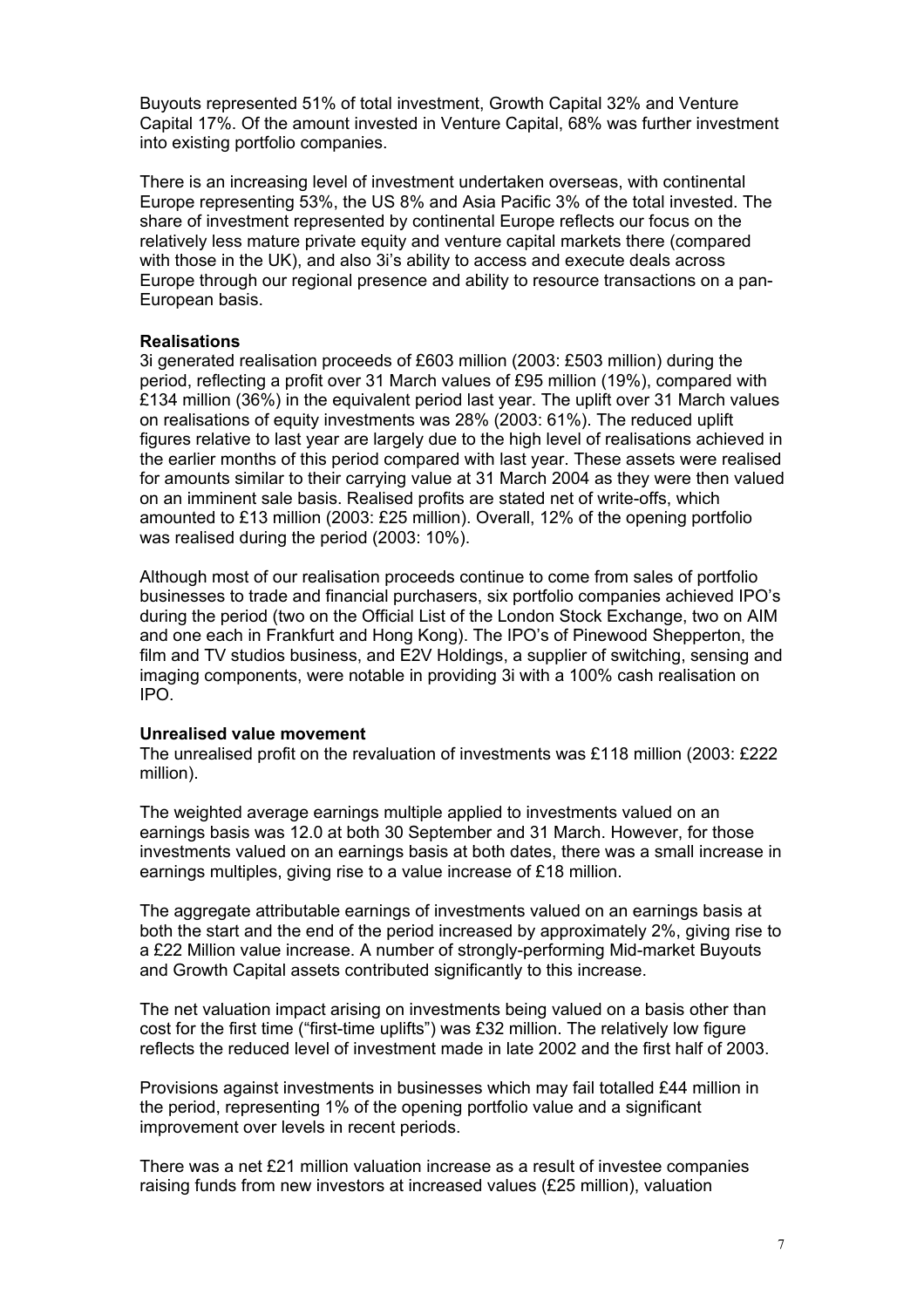Buyouts represented 51% of total investment, Growth Capital 32% and Venture Capital 17%. Of the amount invested in Venture Capital, 68% was further investment into existing portfolio companies.

There is an increasing level of investment undertaken overseas, with continental Europe representing 53%, the US 8% and Asia Pacific 3% of the total invested. The share of investment represented by continental Europe reflects our focus on the relatively less mature private equity and venture capital markets there (compared with those in the UK), and also 3i's ability to access and execute deals across Europe through our regional presence and ability to resource transactions on a pan-European basis.

#### **Realisations**

3i generated realisation proceeds of £603 million (2003: £503 million) during the period, reflecting a profit over 31 March values of £95 million (19%), compared with £134 million (36%) in the equivalent period last year. The uplift over 31 March values on realisations of equity investments was 28% (2003: 61%). The reduced uplift figures relative to last year are largely due to the high level of realisations achieved in the earlier months of this period compared with last year. These assets were realised for amounts similar to their carrying value at 31 March 2004 as they were then valued on an imminent sale basis. Realised profits are stated net of write-offs, which amounted to £13 million (2003: £25 million). Overall, 12% of the opening portfolio was realised during the period (2003: 10%).

Although most of our realisation proceeds continue to come from sales of portfolio businesses to trade and financial purchasers, six portfolio companies achieved IPO's during the period (two on the Official List of the London Stock Exchange, two on AIM and one each in Frankfurt and Hong Kong). The IPO's of Pinewood Shepperton, the film and TV studios business, and E2V Holdings, a supplier of switching, sensing and imaging components, were notable in providing 3i with a 100% cash realisation on IPO.

#### **Unrealised value movement**

The unrealised profit on the revaluation of investments was £118 million (2003: £222 million).

The weighted average earnings multiple applied to investments valued on an earnings basis was 12.0 at both 30 September and 31 March. However, for those investments valued on an earnings basis at both dates, there was a small increase in earnings multiples, giving rise to a value increase of £18 million.

The aggregate attributable earnings of investments valued on an earnings basis at both the start and the end of the period increased by approximately 2%, giving rise to a £22 Million value increase. A number of strongly-performing Mid-market Buyouts and Growth Capital assets contributed significantly to this increase.

The net valuation impact arising on investments being valued on a basis other than cost for the first time ("first-time uplifts") was £32 million. The relatively low figure reflects the reduced level of investment made in late 2002 and the first half of 2003.

Provisions against investments in businesses which may fail totalled £44 million in the period, representing 1% of the opening portfolio value and a significant improvement over levels in recent periods.

There was a net £21 million valuation increase as a result of investee companies raising funds from new investors at increased values (£25 million), valuation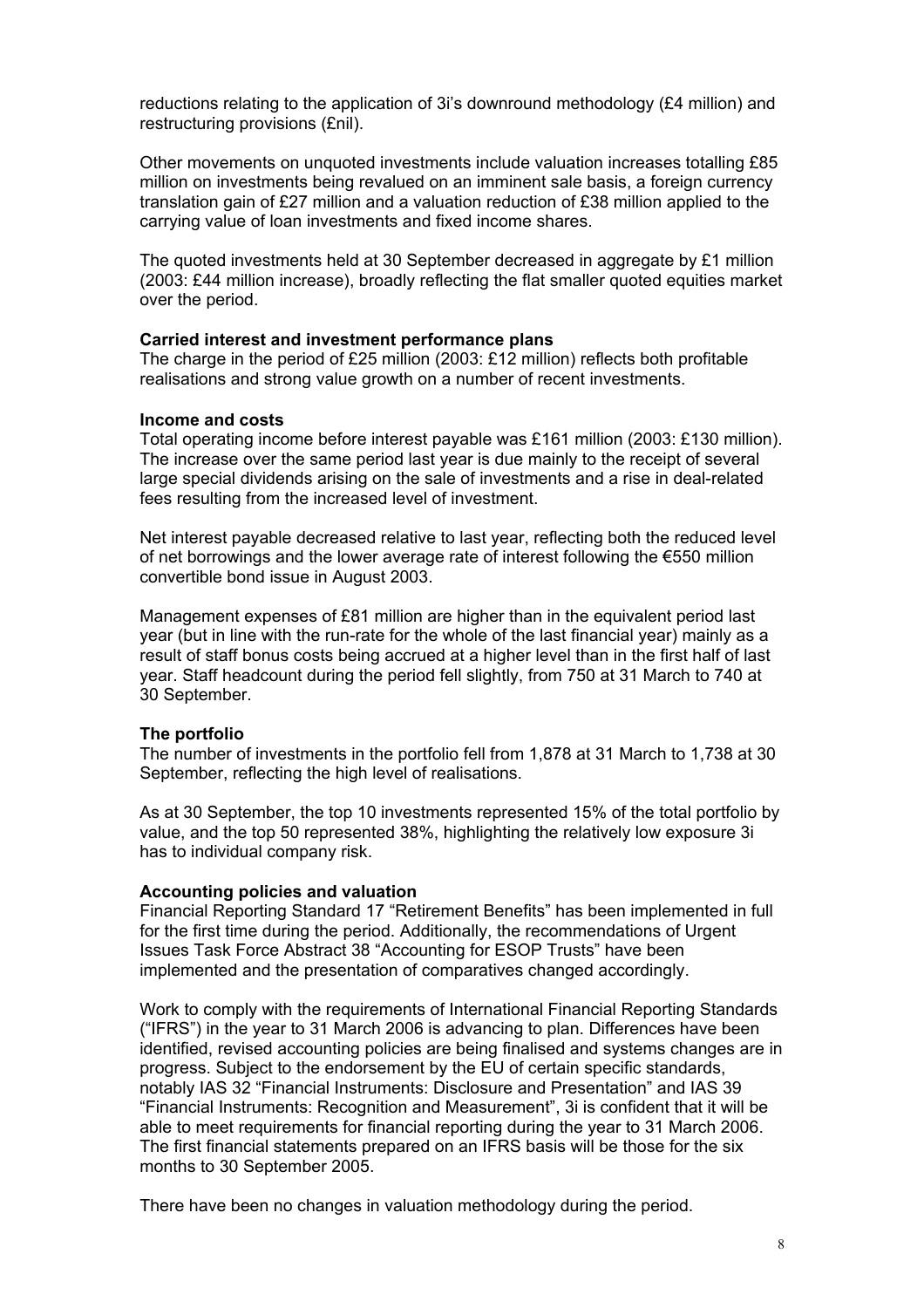reductions relating to the application of 3i's downround methodology (£4 million) and restructuring provisions (£nil).

Other movements on unquoted investments include valuation increases totalling £85 million on investments being revalued on an imminent sale basis, a foreign currency translation gain of £27 million and a valuation reduction of £38 million applied to the carrying value of loan investments and fixed income shares.

The quoted investments held at 30 September decreased in aggregate by £1 million (2003: £44 million increase), broadly reflecting the flat smaller quoted equities market over the period.

#### **Carried interest and investment performance plans**

The charge in the period of £25 million (2003: £12 million) reflects both profitable realisations and strong value growth on a number of recent investments.

#### **Income and costs**

Total operating income before interest payable was £161 million (2003: £130 million). The increase over the same period last year is due mainly to the receipt of several large special dividends arising on the sale of investments and a rise in deal-related fees resulting from the increased level of investment.

Net interest payable decreased relative to last year, reflecting both the reduced level of net borrowings and the lower average rate of interest following the €550 million convertible bond issue in August 2003.

Management expenses of £81 million are higher than in the equivalent period last year (but in line with the run-rate for the whole of the last financial year) mainly as a result of staff bonus costs being accrued at a higher level than in the first half of last year. Staff headcount during the period fell slightly, from 750 at 31 March to 740 at 30 September.

#### **The portfolio**

The number of investments in the portfolio fell from 1,878 at 31 March to 1,738 at 30 September, reflecting the high level of realisations.

As at 30 September, the top 10 investments represented 15% of the total portfolio by value, and the top 50 represented 38%, highlighting the relatively low exposure 3i has to individual company risk.

#### **Accounting policies and valuation**

Financial Reporting Standard 17 "Retirement Benefits" has been implemented in full for the first time during the period. Additionally, the recommendations of Urgent Issues Task Force Abstract 38 "Accounting for ESOP Trusts" have been implemented and the presentation of comparatives changed accordingly.

Work to comply with the requirements of International Financial Reporting Standards ("IFRS") in the year to 31 March 2006 is advancing to plan. Differences have been identified, revised accounting policies are being finalised and systems changes are in progress. Subject to the endorsement by the EU of certain specific standards, notably IAS 32 "Financial Instruments: Disclosure and Presentation" and IAS 39 "Financial Instruments: Recognition and Measurement", 3i is confident that it will be able to meet requirements for financial reporting during the year to 31 March 2006. The first financial statements prepared on an IFRS basis will be those for the six months to 30 September 2005.

There have been no changes in valuation methodology during the period.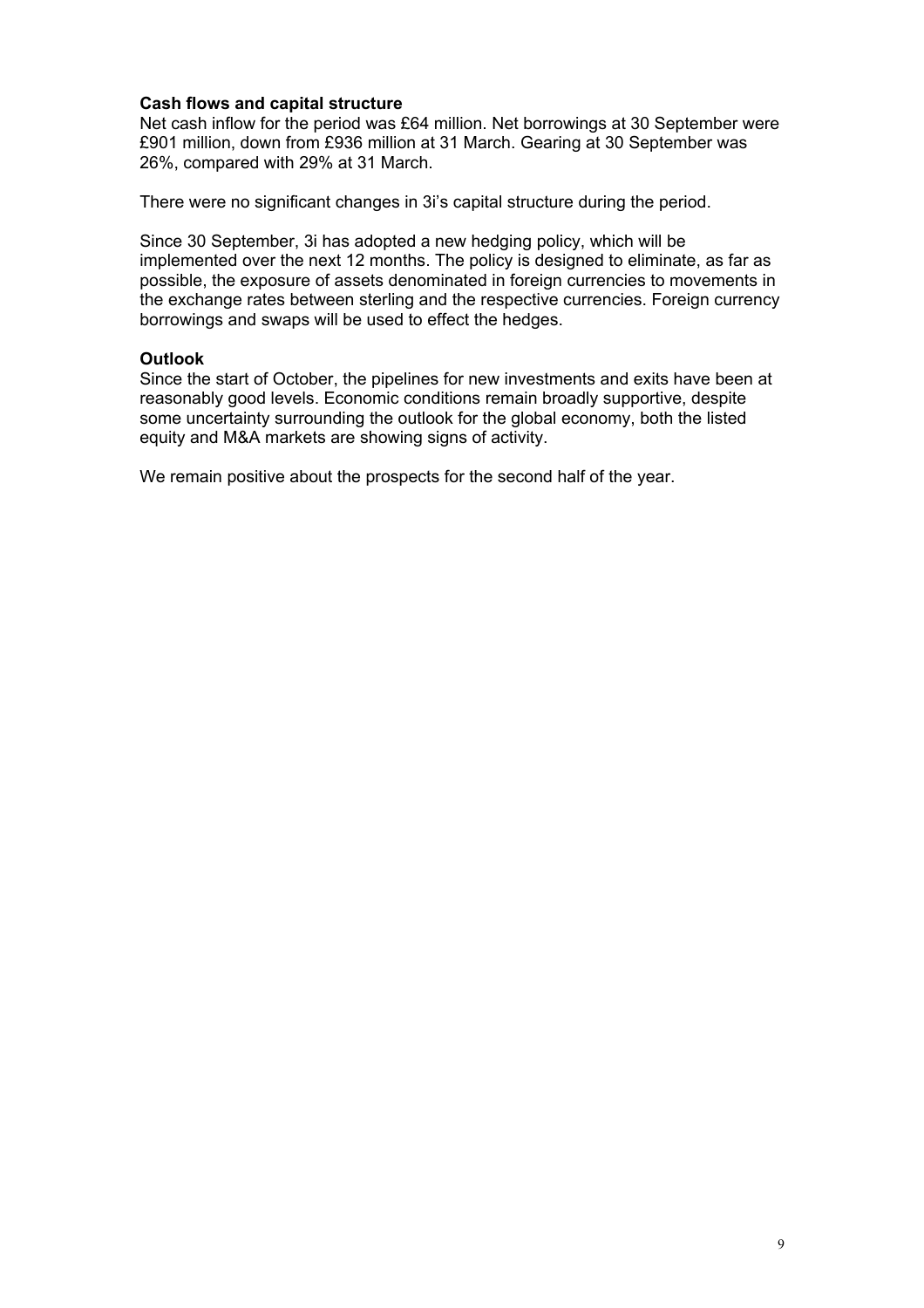#### **Cash flows and capital structure**

Net cash inflow for the period was £64 million. Net borrowings at 30 September were £901 million, down from £936 million at 31 March. Gearing at 30 September was 26%, compared with 29% at 31 March.

There were no significant changes in 3i's capital structure during the period.

Since 30 September, 3i has adopted a new hedging policy, which will be implemented over the next 12 months. The policy is designed to eliminate, as far as possible, the exposure of assets denominated in foreign currencies to movements in the exchange rates between sterling and the respective currencies. Foreign currency borrowings and swaps will be used to effect the hedges.

#### **Outlook**

Since the start of October, the pipelines for new investments and exits have been at reasonably good levels. Economic conditions remain broadly supportive, despite some uncertainty surrounding the outlook for the global economy, both the listed equity and M&A markets are showing signs of activity.

We remain positive about the prospects for the second half of the year.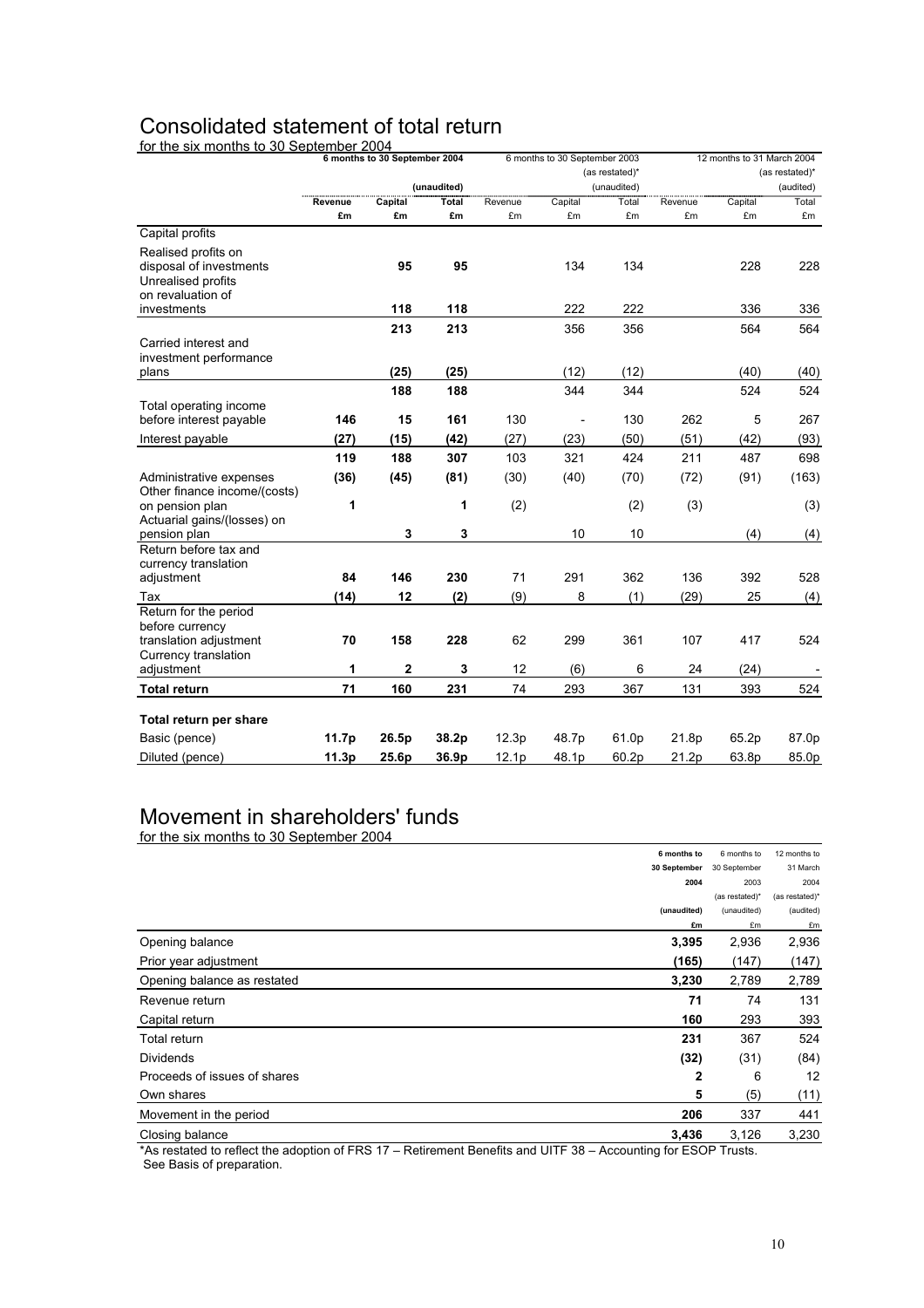# Consolidated statement of total return

for the six months to 30 September 2004

|                                               |         | 6 months to 30 September 2004 |             |         | 6 months to 30 September 2003 |             |         | 12 months to 31 March 2004 |           |  |
|-----------------------------------------------|---------|-------------------------------|-------------|---------|-------------------------------|-------------|---------|----------------------------|-----------|--|
|                                               |         |                               |             |         | (as restated)*                |             |         | (as restated)*             |           |  |
|                                               |         |                               | (unaudited) |         |                               | (unaudited) |         |                            | (audited) |  |
|                                               | Revenue | Capital                       | Total       | Revenue | Capital                       | Total       | Revenue | Capital                    | Total     |  |
|                                               | £m      | £m                            | £m          | £m      | £m                            | £m          | £m      | £m                         | £m        |  |
| Capital profits                               |         |                               |             |         |                               |             |         |                            |           |  |
| Realised profits on                           |         |                               |             |         |                               |             |         |                            |           |  |
| disposal of investments<br>Unrealised profits |         | 95                            | 95          |         | 134                           | 134         |         | 228                        | 228       |  |
| on revaluation of                             |         |                               |             |         |                               |             |         |                            |           |  |
| investments                                   |         | 118                           | 118         |         | 222                           | 222         |         | 336                        | 336       |  |
|                                               |         | 213                           | 213         |         | 356                           | 356         |         | 564                        | 564       |  |
| Carried interest and                          |         |                               |             |         |                               |             |         |                            |           |  |
| investment performance                        |         |                               |             |         |                               |             |         |                            |           |  |
| plans                                         |         | (25)                          | (25)        |         | (12)                          | (12)        |         | (40)                       | (40)      |  |
|                                               |         | 188                           | 188         |         | 344                           | 344         |         | 524                        | 524       |  |
| Total operating income                        |         |                               |             |         |                               |             |         |                            |           |  |
| before interest payable                       | 146     | 15                            | 161         | 130     | $\centerdot$                  | 130         | 262     | 5                          | 267       |  |
| Interest payable                              | (27)    | (15)                          | (42)        | (27)    | (23)                          | (50)        | (51)    | (42)                       | (93)      |  |
|                                               | 119     | 188                           | 307         | 103     | 321                           | 424         | 211     | 487                        | 698       |  |
| Administrative expenses                       | (36)    | (45)                          | (81)        | (30)    | (40)                          | (70)        | (72)    | (91)                       | (163)     |  |
| Other finance income/(costs)                  |         |                               |             |         |                               |             |         |                            |           |  |
| on pension plan                               | 1       |                               | 1           | (2)     |                               | (2)         | (3)     |                            | (3)       |  |
| Actuarial gains/(losses) on                   |         | 3                             | 3           |         | 10                            | 10          |         | (4)                        |           |  |
| pension plan<br>Return before tax and         |         |                               |             |         |                               |             |         |                            | (4)       |  |
| currency translation                          |         |                               |             |         |                               |             |         |                            |           |  |
| adjustment                                    | 84      | 146                           | 230         | 71      | 291                           | 362         | 136     | 392                        | 528       |  |
| Tax                                           | (14)    | 12                            | (2)         | (9)     | 8                             | (1)         | (29)    | 25                         | (4)       |  |
| Return for the period                         |         |                               |             |         |                               |             |         |                            |           |  |
| before currency                               |         |                               |             |         |                               |             |         |                            |           |  |
| translation adjustment                        | 70      | 158                           | 228         | 62      | 299                           | 361         | 107     | 417                        | 524       |  |
| Currency translation<br>adjustment            | 1       | $\overline{2}$                | 3           | 12      | (6)                           | 6           | 24      | (24)                       |           |  |
|                                               |         |                               |             |         |                               |             |         |                            |           |  |
| <b>Total return</b>                           | 71      | 160                           | 231         | 74      | 293                           | 367         | 131     | 393                        | 524       |  |
| Total return per share                        |         |                               |             |         |                               |             |         |                            |           |  |
| Basic (pence)                                 | 11.7p   | 26.5p                         | 38.2p       | 12.3p   | 48.7p                         | 61.0p       | 21.8p   | 65.2p                      | 87.0p     |  |
| Diluted (pence)                               | 11.3p   | 25.6p                         | 36.9p       | 12.1p   | 48.1p                         | 60.2p       | 21.2p   | 63.8p                      | 85.0p     |  |
|                                               |         |                               |             |         |                               |             |         |                            |           |  |

#### Movement in shareholders' funds for the six months to 30 September 2004

| <b>POLITIC SIX HIGHLIS to SO OCDICITION ZOOT</b> |              |                |                |
|--------------------------------------------------|--------------|----------------|----------------|
|                                                  | 6 months to  | 6 months to    | 12 months to   |
|                                                  | 30 September | 30 September   | 31 March       |
|                                                  | 2004         | 2003           | 2004           |
|                                                  |              | (as restated)* | (as restated)* |
|                                                  | (unaudited)  | (unaudited)    | (audited)      |
|                                                  | £m           | £m             | £m             |
| Opening balance                                  | 3,395        | 2,936          | 2,936          |
| Prior year adjustment                            | (165)        | (147)          | (147)          |
| Opening balance as restated                      | 3,230        | 2,789          | 2,789          |
| Revenue return                                   | 71           | 74             | 131            |
| Capital return                                   | 160          | 293            | 393            |
| Total return                                     | 231          | 367            | 524            |
| <b>Dividends</b>                                 | (32)         | (31)           | (84)           |
| Proceeds of issues of shares                     | 2            | 6              | 12             |
| Own shares                                       | 5            | (5)            | (11)           |
| Movement in the period                           | 206          | 337            | 441            |
| Closing balance                                  | 3,436        | 3,126          | 3,230          |
|                                                  |              |                |                |

\*As restated to reflect the adoption of FRS 17 – Retirement Benefits and UITF 38 – Accounting for ESOP Trusts. See Basis of preparation.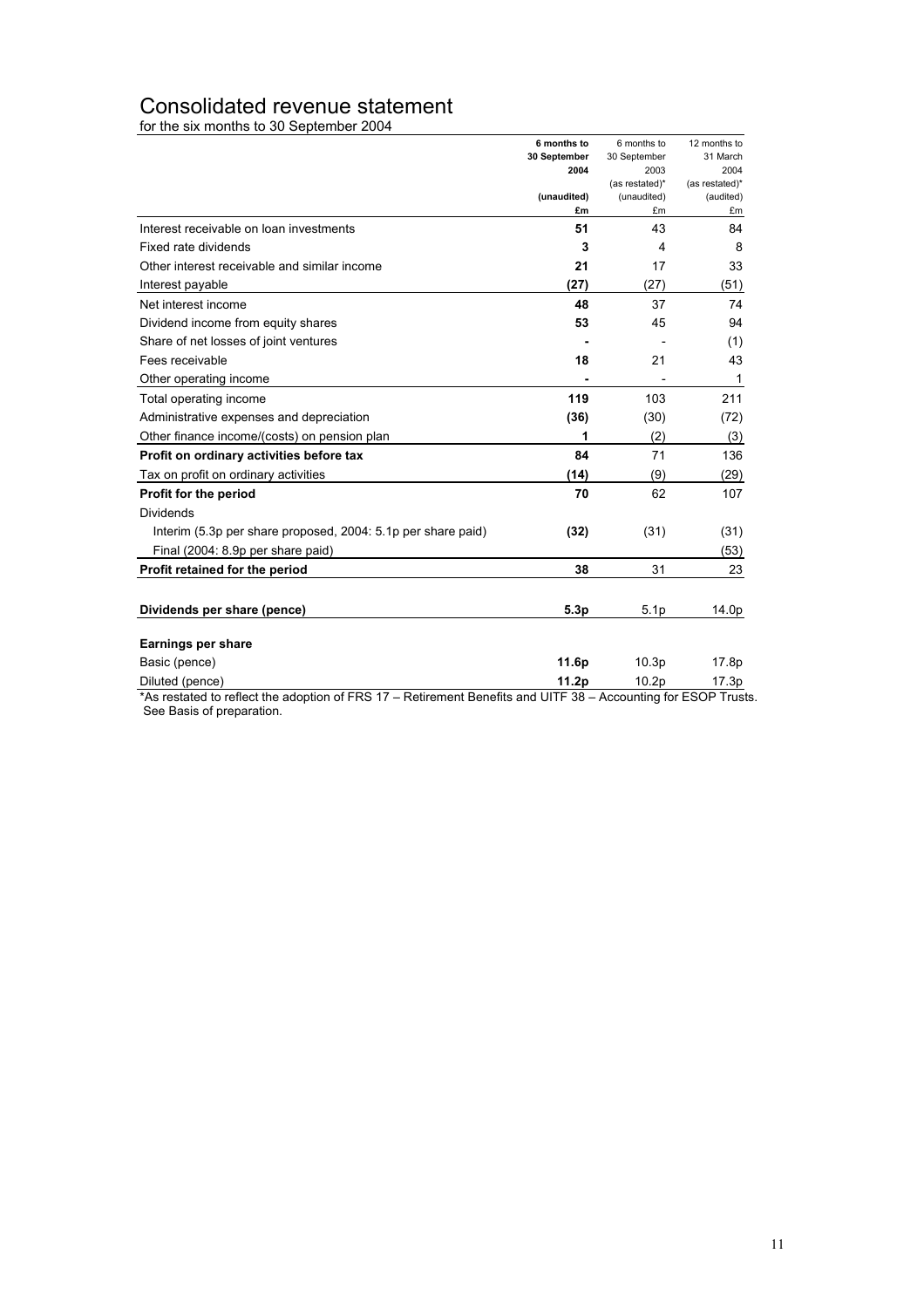### Consolidated revenue statement

for the six months to 30 September 2004

|                                                                                                                                   | 6 months to  | 6 months to                   | 12 months to                |
|-----------------------------------------------------------------------------------------------------------------------------------|--------------|-------------------------------|-----------------------------|
|                                                                                                                                   | 30 September | 30 September                  | 31 March                    |
|                                                                                                                                   | 2004         | 2003                          | 2004                        |
|                                                                                                                                   | (unaudited)  | (as restated)*<br>(unaudited) | (as restated)*<br>(audited) |
|                                                                                                                                   | £m           | £m                            | £m                          |
| Interest receivable on loan investments                                                                                           | 51           | 43                            | 84                          |
| Fixed rate dividends                                                                                                              | 3            | 4                             | 8                           |
| Other interest receivable and similar income                                                                                      | 21           | 17                            | 33                          |
| Interest payable                                                                                                                  | (27)         | (27)                          | (51)                        |
| Net interest income                                                                                                               | 48           | 37                            | 74                          |
| Dividend income from equity shares                                                                                                | 53           | 45                            | 94                          |
| Share of net losses of joint ventures                                                                                             |              |                               | (1)                         |
| Fees receivable                                                                                                                   | 18           | 21                            | 43                          |
| Other operating income                                                                                                            |              |                               | 1                           |
| Total operating income                                                                                                            | 119          | 103                           | 211                         |
| Administrative expenses and depreciation                                                                                          | (36)         | (30)                          | (72)                        |
| Other finance income/(costs) on pension plan                                                                                      | 1            | (2)                           | (3)                         |
| Profit on ordinary activities before tax                                                                                          | 84           | 71                            | 136                         |
| Tax on profit on ordinary activities                                                                                              | (14)         | (9)                           | (29)                        |
| Profit for the period                                                                                                             | 70           | 62                            | 107                         |
| <b>Dividends</b>                                                                                                                  |              |                               |                             |
| Interim (5.3p per share proposed, 2004: 5.1p per share paid)                                                                      | (32)         | (31)                          | (31)                        |
| Final (2004: 8.9p per share paid)                                                                                                 |              |                               | (53)                        |
| Profit retained for the period                                                                                                    | 38           | 31                            | 23                          |
|                                                                                                                                   |              |                               |                             |
| Dividends per share (pence)                                                                                                       | 5.3p         | 5.1 <sub>p</sub>              | 14.0p                       |
| Earnings per share                                                                                                                |              |                               |                             |
| Basic (pence)                                                                                                                     | 11.6p        | 10.3p                         | 17.8p                       |
|                                                                                                                                   |              |                               |                             |
| Diluted (pence)<br>*As restated to reflect the adoption of FRS 17 - Retirement Benefits and UITF 38 - Accounting for ESOP Trusts. | 11.2p        | 10.2 <sub>p</sub>             | 17.3p                       |

See Basis of preparation.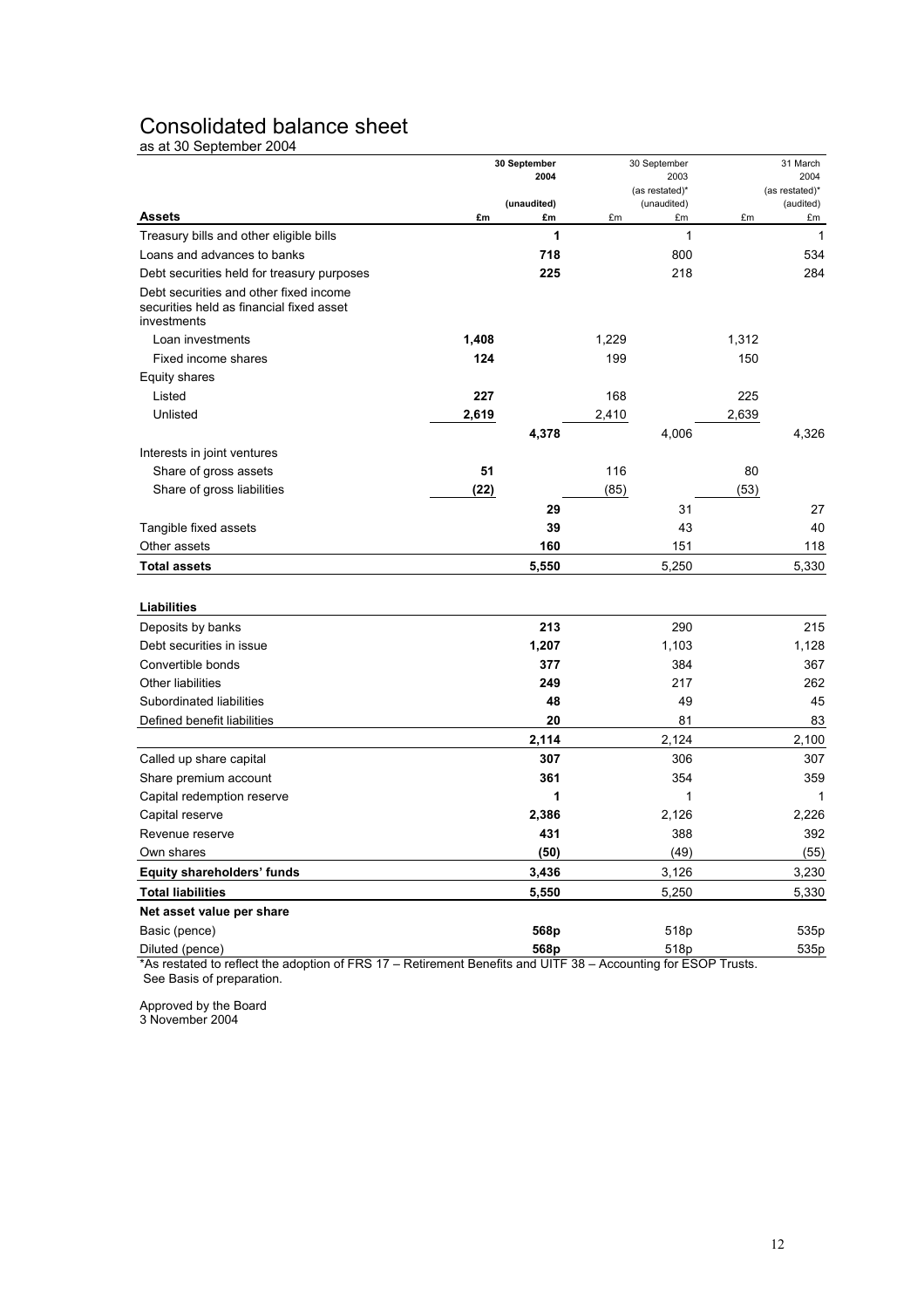## Consolidated balance sheet

as at 30 September 2004

| 2004<br>2004<br>2003<br>(as restated)*<br>(as restated)*<br>(unaudited)<br>(unaudited)<br>(audited)<br><b>Assets</b><br>£m<br>£m<br>£m<br>£m<br>£m<br>£m<br>1<br>Treasury bills and other eligible bills<br>1<br>$\mathbf{1}$<br>800<br>Loans and advances to banks<br>718<br>534<br>225<br>218<br>284<br>Debt securities held for treasury purposes<br>Debt securities and other fixed income<br>securities held as financial fixed asset<br>investments<br>1,408<br>1,229<br>1,312<br>Loan investments<br>124<br>199<br>150<br>Fixed income shares<br>Equity shares<br>Listed<br>227<br>225<br>168<br>Unlisted<br>2,619<br>2,410<br>2,639<br>4,378<br>4,006<br>4,326<br>Interests in joint ventures<br>Share of gross assets<br>51<br>116<br>80<br>(22)<br>(85)<br>(53)<br>Share of gross liabilities<br>27<br>29<br>31<br>40<br>Tangible fixed assets<br>39<br>43<br>Other assets<br>160<br>151<br>118<br>5,550<br>5,250<br><b>Total assets</b><br>5,330<br>Liabilities<br>213<br>290<br>Deposits by banks<br>215<br>1,207<br>1,103<br>Debt securities in issue<br>1,128<br>Convertible bonds<br>377<br>384<br>367<br>Other liabilities<br>249<br>217<br>262<br>49<br>45<br>Subordinated liabilities<br>48<br>Defined benefit liabilities<br>20<br>81<br>83<br>2,114<br>2,124<br>2,100<br>306<br>Called up share capital<br>307<br>307<br>361<br>354<br>359<br>Share premium account<br>1<br>Capital redemption reserve<br>1<br>1<br>2,386<br>2,126<br>2,226<br>Capital reserve<br>431<br>388<br>392<br>Revenue reserve<br>(50)<br>(49)<br>Own shares<br>(55)<br><b>Equity shareholders' funds</b><br>3,436<br>3,126<br>3,230<br><b>Total liabilities</b><br>5,550<br>5,250<br>5,330<br>Net asset value per share<br>568p<br>Basic (pence)<br>518p<br>535p<br>Diluted (pence)<br>568p<br>518p<br>535p<br>*As restated to reflect the adoption of EDS<br>17<br><b>Dotiromont</b><br><b>Ponofite and LUTE</b><br>ccounting for ESOD.<br>Tructo |  | 30 September<br>30 September |  |  | 31 March |  |  |
|-------------------------------------------------------------------------------------------------------------------------------------------------------------------------------------------------------------------------------------------------------------------------------------------------------------------------------------------------------------------------------------------------------------------------------------------------------------------------------------------------------------------------------------------------------------------------------------------------------------------------------------------------------------------------------------------------------------------------------------------------------------------------------------------------------------------------------------------------------------------------------------------------------------------------------------------------------------------------------------------------------------------------------------------------------------------------------------------------------------------------------------------------------------------------------------------------------------------------------------------------------------------------------------------------------------------------------------------------------------------------------------------------------------------------------------------------------------------------------------------------------------------------------------------------------------------------------------------------------------------------------------------------------------------------------------------------------------------------------------------------------------------------------------------------------------------------------------------------------------------------------------------------------------------------------------------------|--|------------------------------|--|--|----------|--|--|
|                                                                                                                                                                                                                                                                                                                                                                                                                                                                                                                                                                                                                                                                                                                                                                                                                                                                                                                                                                                                                                                                                                                                                                                                                                                                                                                                                                                                                                                                                                                                                                                                                                                                                                                                                                                                                                                                                                                                                 |  |                              |  |  |          |  |  |
|                                                                                                                                                                                                                                                                                                                                                                                                                                                                                                                                                                                                                                                                                                                                                                                                                                                                                                                                                                                                                                                                                                                                                                                                                                                                                                                                                                                                                                                                                                                                                                                                                                                                                                                                                                                                                                                                                                                                                 |  |                              |  |  |          |  |  |
|                                                                                                                                                                                                                                                                                                                                                                                                                                                                                                                                                                                                                                                                                                                                                                                                                                                                                                                                                                                                                                                                                                                                                                                                                                                                                                                                                                                                                                                                                                                                                                                                                                                                                                                                                                                                                                                                                                                                                 |  |                              |  |  |          |  |  |
|                                                                                                                                                                                                                                                                                                                                                                                                                                                                                                                                                                                                                                                                                                                                                                                                                                                                                                                                                                                                                                                                                                                                                                                                                                                                                                                                                                                                                                                                                                                                                                                                                                                                                                                                                                                                                                                                                                                                                 |  |                              |  |  |          |  |  |
|                                                                                                                                                                                                                                                                                                                                                                                                                                                                                                                                                                                                                                                                                                                                                                                                                                                                                                                                                                                                                                                                                                                                                                                                                                                                                                                                                                                                                                                                                                                                                                                                                                                                                                                                                                                                                                                                                                                                                 |  |                              |  |  |          |  |  |
|                                                                                                                                                                                                                                                                                                                                                                                                                                                                                                                                                                                                                                                                                                                                                                                                                                                                                                                                                                                                                                                                                                                                                                                                                                                                                                                                                                                                                                                                                                                                                                                                                                                                                                                                                                                                                                                                                                                                                 |  |                              |  |  |          |  |  |
|                                                                                                                                                                                                                                                                                                                                                                                                                                                                                                                                                                                                                                                                                                                                                                                                                                                                                                                                                                                                                                                                                                                                                                                                                                                                                                                                                                                                                                                                                                                                                                                                                                                                                                                                                                                                                                                                                                                                                 |  |                              |  |  |          |  |  |
|                                                                                                                                                                                                                                                                                                                                                                                                                                                                                                                                                                                                                                                                                                                                                                                                                                                                                                                                                                                                                                                                                                                                                                                                                                                                                                                                                                                                                                                                                                                                                                                                                                                                                                                                                                                                                                                                                                                                                 |  |                              |  |  |          |  |  |
|                                                                                                                                                                                                                                                                                                                                                                                                                                                                                                                                                                                                                                                                                                                                                                                                                                                                                                                                                                                                                                                                                                                                                                                                                                                                                                                                                                                                                                                                                                                                                                                                                                                                                                                                                                                                                                                                                                                                                 |  |                              |  |  |          |  |  |
|                                                                                                                                                                                                                                                                                                                                                                                                                                                                                                                                                                                                                                                                                                                                                                                                                                                                                                                                                                                                                                                                                                                                                                                                                                                                                                                                                                                                                                                                                                                                                                                                                                                                                                                                                                                                                                                                                                                                                 |  |                              |  |  |          |  |  |
|                                                                                                                                                                                                                                                                                                                                                                                                                                                                                                                                                                                                                                                                                                                                                                                                                                                                                                                                                                                                                                                                                                                                                                                                                                                                                                                                                                                                                                                                                                                                                                                                                                                                                                                                                                                                                                                                                                                                                 |  |                              |  |  |          |  |  |
|                                                                                                                                                                                                                                                                                                                                                                                                                                                                                                                                                                                                                                                                                                                                                                                                                                                                                                                                                                                                                                                                                                                                                                                                                                                                                                                                                                                                                                                                                                                                                                                                                                                                                                                                                                                                                                                                                                                                                 |  |                              |  |  |          |  |  |
|                                                                                                                                                                                                                                                                                                                                                                                                                                                                                                                                                                                                                                                                                                                                                                                                                                                                                                                                                                                                                                                                                                                                                                                                                                                                                                                                                                                                                                                                                                                                                                                                                                                                                                                                                                                                                                                                                                                                                 |  |                              |  |  |          |  |  |
|                                                                                                                                                                                                                                                                                                                                                                                                                                                                                                                                                                                                                                                                                                                                                                                                                                                                                                                                                                                                                                                                                                                                                                                                                                                                                                                                                                                                                                                                                                                                                                                                                                                                                                                                                                                                                                                                                                                                                 |  |                              |  |  |          |  |  |
|                                                                                                                                                                                                                                                                                                                                                                                                                                                                                                                                                                                                                                                                                                                                                                                                                                                                                                                                                                                                                                                                                                                                                                                                                                                                                                                                                                                                                                                                                                                                                                                                                                                                                                                                                                                                                                                                                                                                                 |  |                              |  |  |          |  |  |
|                                                                                                                                                                                                                                                                                                                                                                                                                                                                                                                                                                                                                                                                                                                                                                                                                                                                                                                                                                                                                                                                                                                                                                                                                                                                                                                                                                                                                                                                                                                                                                                                                                                                                                                                                                                                                                                                                                                                                 |  |                              |  |  |          |  |  |
|                                                                                                                                                                                                                                                                                                                                                                                                                                                                                                                                                                                                                                                                                                                                                                                                                                                                                                                                                                                                                                                                                                                                                                                                                                                                                                                                                                                                                                                                                                                                                                                                                                                                                                                                                                                                                                                                                                                                                 |  |                              |  |  |          |  |  |
|                                                                                                                                                                                                                                                                                                                                                                                                                                                                                                                                                                                                                                                                                                                                                                                                                                                                                                                                                                                                                                                                                                                                                                                                                                                                                                                                                                                                                                                                                                                                                                                                                                                                                                                                                                                                                                                                                                                                                 |  |                              |  |  |          |  |  |
|                                                                                                                                                                                                                                                                                                                                                                                                                                                                                                                                                                                                                                                                                                                                                                                                                                                                                                                                                                                                                                                                                                                                                                                                                                                                                                                                                                                                                                                                                                                                                                                                                                                                                                                                                                                                                                                                                                                                                 |  |                              |  |  |          |  |  |
|                                                                                                                                                                                                                                                                                                                                                                                                                                                                                                                                                                                                                                                                                                                                                                                                                                                                                                                                                                                                                                                                                                                                                                                                                                                                                                                                                                                                                                                                                                                                                                                                                                                                                                                                                                                                                                                                                                                                                 |  |                              |  |  |          |  |  |
|                                                                                                                                                                                                                                                                                                                                                                                                                                                                                                                                                                                                                                                                                                                                                                                                                                                                                                                                                                                                                                                                                                                                                                                                                                                                                                                                                                                                                                                                                                                                                                                                                                                                                                                                                                                                                                                                                                                                                 |  |                              |  |  |          |  |  |
|                                                                                                                                                                                                                                                                                                                                                                                                                                                                                                                                                                                                                                                                                                                                                                                                                                                                                                                                                                                                                                                                                                                                                                                                                                                                                                                                                                                                                                                                                                                                                                                                                                                                                                                                                                                                                                                                                                                                                 |  |                              |  |  |          |  |  |
|                                                                                                                                                                                                                                                                                                                                                                                                                                                                                                                                                                                                                                                                                                                                                                                                                                                                                                                                                                                                                                                                                                                                                                                                                                                                                                                                                                                                                                                                                                                                                                                                                                                                                                                                                                                                                                                                                                                                                 |  |                              |  |  |          |  |  |
|                                                                                                                                                                                                                                                                                                                                                                                                                                                                                                                                                                                                                                                                                                                                                                                                                                                                                                                                                                                                                                                                                                                                                                                                                                                                                                                                                                                                                                                                                                                                                                                                                                                                                                                                                                                                                                                                                                                                                 |  |                              |  |  |          |  |  |
|                                                                                                                                                                                                                                                                                                                                                                                                                                                                                                                                                                                                                                                                                                                                                                                                                                                                                                                                                                                                                                                                                                                                                                                                                                                                                                                                                                                                                                                                                                                                                                                                                                                                                                                                                                                                                                                                                                                                                 |  |                              |  |  |          |  |  |
|                                                                                                                                                                                                                                                                                                                                                                                                                                                                                                                                                                                                                                                                                                                                                                                                                                                                                                                                                                                                                                                                                                                                                                                                                                                                                                                                                                                                                                                                                                                                                                                                                                                                                                                                                                                                                                                                                                                                                 |  |                              |  |  |          |  |  |
|                                                                                                                                                                                                                                                                                                                                                                                                                                                                                                                                                                                                                                                                                                                                                                                                                                                                                                                                                                                                                                                                                                                                                                                                                                                                                                                                                                                                                                                                                                                                                                                                                                                                                                                                                                                                                                                                                                                                                 |  |                              |  |  |          |  |  |
|                                                                                                                                                                                                                                                                                                                                                                                                                                                                                                                                                                                                                                                                                                                                                                                                                                                                                                                                                                                                                                                                                                                                                                                                                                                                                                                                                                                                                                                                                                                                                                                                                                                                                                                                                                                                                                                                                                                                                 |  |                              |  |  |          |  |  |
|                                                                                                                                                                                                                                                                                                                                                                                                                                                                                                                                                                                                                                                                                                                                                                                                                                                                                                                                                                                                                                                                                                                                                                                                                                                                                                                                                                                                                                                                                                                                                                                                                                                                                                                                                                                                                                                                                                                                                 |  |                              |  |  |          |  |  |
|                                                                                                                                                                                                                                                                                                                                                                                                                                                                                                                                                                                                                                                                                                                                                                                                                                                                                                                                                                                                                                                                                                                                                                                                                                                                                                                                                                                                                                                                                                                                                                                                                                                                                                                                                                                                                                                                                                                                                 |  |                              |  |  |          |  |  |
|                                                                                                                                                                                                                                                                                                                                                                                                                                                                                                                                                                                                                                                                                                                                                                                                                                                                                                                                                                                                                                                                                                                                                                                                                                                                                                                                                                                                                                                                                                                                                                                                                                                                                                                                                                                                                                                                                                                                                 |  |                              |  |  |          |  |  |
|                                                                                                                                                                                                                                                                                                                                                                                                                                                                                                                                                                                                                                                                                                                                                                                                                                                                                                                                                                                                                                                                                                                                                                                                                                                                                                                                                                                                                                                                                                                                                                                                                                                                                                                                                                                                                                                                                                                                                 |  |                              |  |  |          |  |  |
|                                                                                                                                                                                                                                                                                                                                                                                                                                                                                                                                                                                                                                                                                                                                                                                                                                                                                                                                                                                                                                                                                                                                                                                                                                                                                                                                                                                                                                                                                                                                                                                                                                                                                                                                                                                                                                                                                                                                                 |  |                              |  |  |          |  |  |
|                                                                                                                                                                                                                                                                                                                                                                                                                                                                                                                                                                                                                                                                                                                                                                                                                                                                                                                                                                                                                                                                                                                                                                                                                                                                                                                                                                                                                                                                                                                                                                                                                                                                                                                                                                                                                                                                                                                                                 |  |                              |  |  |          |  |  |
|                                                                                                                                                                                                                                                                                                                                                                                                                                                                                                                                                                                                                                                                                                                                                                                                                                                                                                                                                                                                                                                                                                                                                                                                                                                                                                                                                                                                                                                                                                                                                                                                                                                                                                                                                                                                                                                                                                                                                 |  |                              |  |  |          |  |  |
|                                                                                                                                                                                                                                                                                                                                                                                                                                                                                                                                                                                                                                                                                                                                                                                                                                                                                                                                                                                                                                                                                                                                                                                                                                                                                                                                                                                                                                                                                                                                                                                                                                                                                                                                                                                                                                                                                                                                                 |  |                              |  |  |          |  |  |
|                                                                                                                                                                                                                                                                                                                                                                                                                                                                                                                                                                                                                                                                                                                                                                                                                                                                                                                                                                                                                                                                                                                                                                                                                                                                                                                                                                                                                                                                                                                                                                                                                                                                                                                                                                                                                                                                                                                                                 |  |                              |  |  |          |  |  |
|                                                                                                                                                                                                                                                                                                                                                                                                                                                                                                                                                                                                                                                                                                                                                                                                                                                                                                                                                                                                                                                                                                                                                                                                                                                                                                                                                                                                                                                                                                                                                                                                                                                                                                                                                                                                                                                                                                                                                 |  |                              |  |  |          |  |  |
|                                                                                                                                                                                                                                                                                                                                                                                                                                                                                                                                                                                                                                                                                                                                                                                                                                                                                                                                                                                                                                                                                                                                                                                                                                                                                                                                                                                                                                                                                                                                                                                                                                                                                                                                                                                                                                                                                                                                                 |  |                              |  |  |          |  |  |
|                                                                                                                                                                                                                                                                                                                                                                                                                                                                                                                                                                                                                                                                                                                                                                                                                                                                                                                                                                                                                                                                                                                                                                                                                                                                                                                                                                                                                                                                                                                                                                                                                                                                                                                                                                                                                                                                                                                                                 |  |                              |  |  |          |  |  |

\*As restated to reflect the adoption of FRS 17 – Retirement Benefits and UITF 38 – Accounting for ESOP Trusts. See Basis of preparation.

Approved by the Board 3 November 2004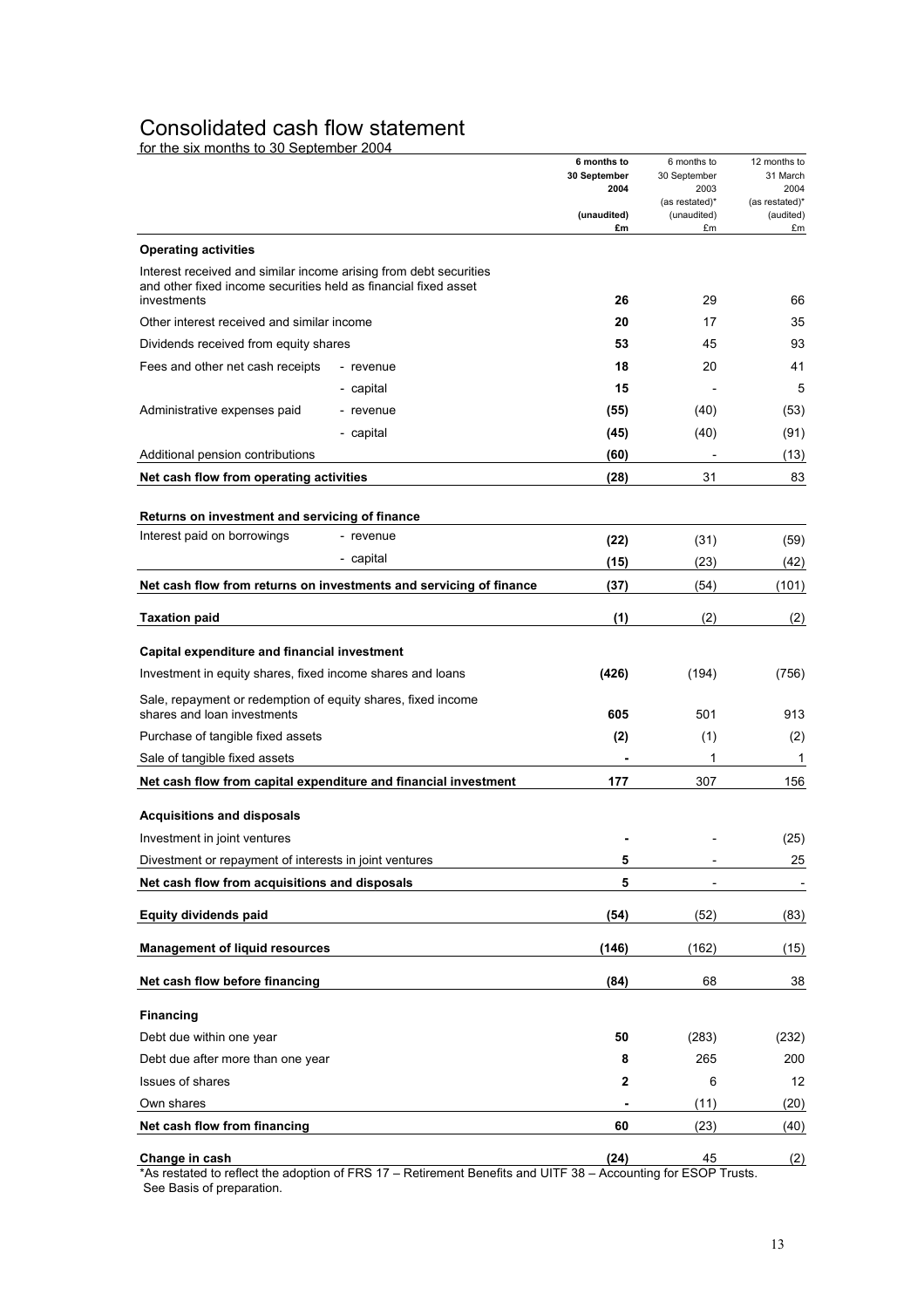### Consolidated cash flow statement

for the six months to 30 September 2004

|                                                                                            | 6 months to          | 6 months to          | 12 months to     |
|--------------------------------------------------------------------------------------------|----------------------|----------------------|------------------|
|                                                                                            | 30 September<br>2004 | 30 September<br>2003 | 31 March<br>2004 |
|                                                                                            |                      | (as restated)*       | (as restated)*   |
|                                                                                            | (unaudited)<br>£m    | (unaudited)<br>£m    | (audited)<br>£m  |
| <b>Operating activities</b>                                                                |                      |                      |                  |
| Interest received and similar income arising from debt securities                          |                      |                      |                  |
| and other fixed income securities held as financial fixed asset                            |                      |                      |                  |
| investments                                                                                | 26                   | 29                   | 66               |
| Other interest received and similar income                                                 | 20                   | 17                   | 35               |
| Dividends received from equity shares                                                      | 53                   | 45                   | 93               |
| Fees and other net cash receipts<br>- revenue                                              | 18                   | 20                   | 41               |
| - capital                                                                                  | 15                   |                      | 5                |
| Administrative expenses paid<br>- revenue                                                  | (55)                 | (40)                 | (53)             |
| - capital                                                                                  | (45)                 | (40)                 | (91)             |
| Additional pension contributions                                                           | (60)                 |                      | (13)             |
| Net cash flow from operating activities                                                    | (28)                 | 31                   | 83               |
|                                                                                            |                      |                      |                  |
| Returns on investment and servicing of finance<br>Interest paid on borrowings<br>- revenue |                      |                      |                  |
| - capital                                                                                  | (22)                 | (31)                 | (59)             |
|                                                                                            | (15)                 | (23)                 | (42)             |
| Net cash flow from returns on investments and servicing of finance                         | (37)                 | (54)                 | (101)            |
| <b>Taxation paid</b>                                                                       | (1)                  | (2)                  | (2)              |
|                                                                                            |                      |                      |                  |
| Capital expenditure and financial investment                                               |                      |                      |                  |
| Investment in equity shares, fixed income shares and loans                                 | (426)                | (194)                | (756)            |
| Sale, repayment or redemption of equity shares, fixed income                               |                      |                      |                  |
| shares and loan investments                                                                | 605                  | 501                  | 913              |
| Purchase of tangible fixed assets                                                          | (2)                  | (1)                  | (2)              |
| Sale of tangible fixed assets                                                              |                      | 1                    | 1                |
| Net cash flow from capital expenditure and financial investment                            | 177                  | 307                  | 156              |
| <b>Acquisitions and disposals</b>                                                          |                      |                      |                  |
| Investment in joint ventures                                                               |                      |                      | (25)             |
| Divestment or repayment of interests in joint ventures                                     | 5                    |                      | 25               |
| Net cash flow from acquisitions and disposals                                              | 5                    |                      |                  |
|                                                                                            |                      |                      |                  |
| Equity dividends paid                                                                      | (54)                 | (52)                 | (83)             |
| <b>Management of liquid resources</b>                                                      | (146)                | (162)                | (15)             |
| Net cash flow before financing                                                             | (84)                 | 68                   | 38               |
|                                                                                            |                      |                      |                  |
| <b>Financing</b>                                                                           |                      |                      |                  |
| Debt due within one year                                                                   | 50                   | (283)                | (232)            |
| Debt due after more than one year                                                          | 8                    | 265                  | 200              |
| <b>Issues of shares</b>                                                                    | 2                    | 6                    | 12               |
| Own shares                                                                                 |                      | (11)                 | (20)             |
| Net cash flow from financing                                                               | 60                   | (23)                 | (40)             |
| Change in cash                                                                             | (24)                 | 45                   |                  |
|                                                                                            |                      |                      | (2)              |

\*As restated to reflect the adoption of FRS 17 – Retirement Benefits and UITF 38 – Accounting for ESOP Trusts. See Basis of preparation.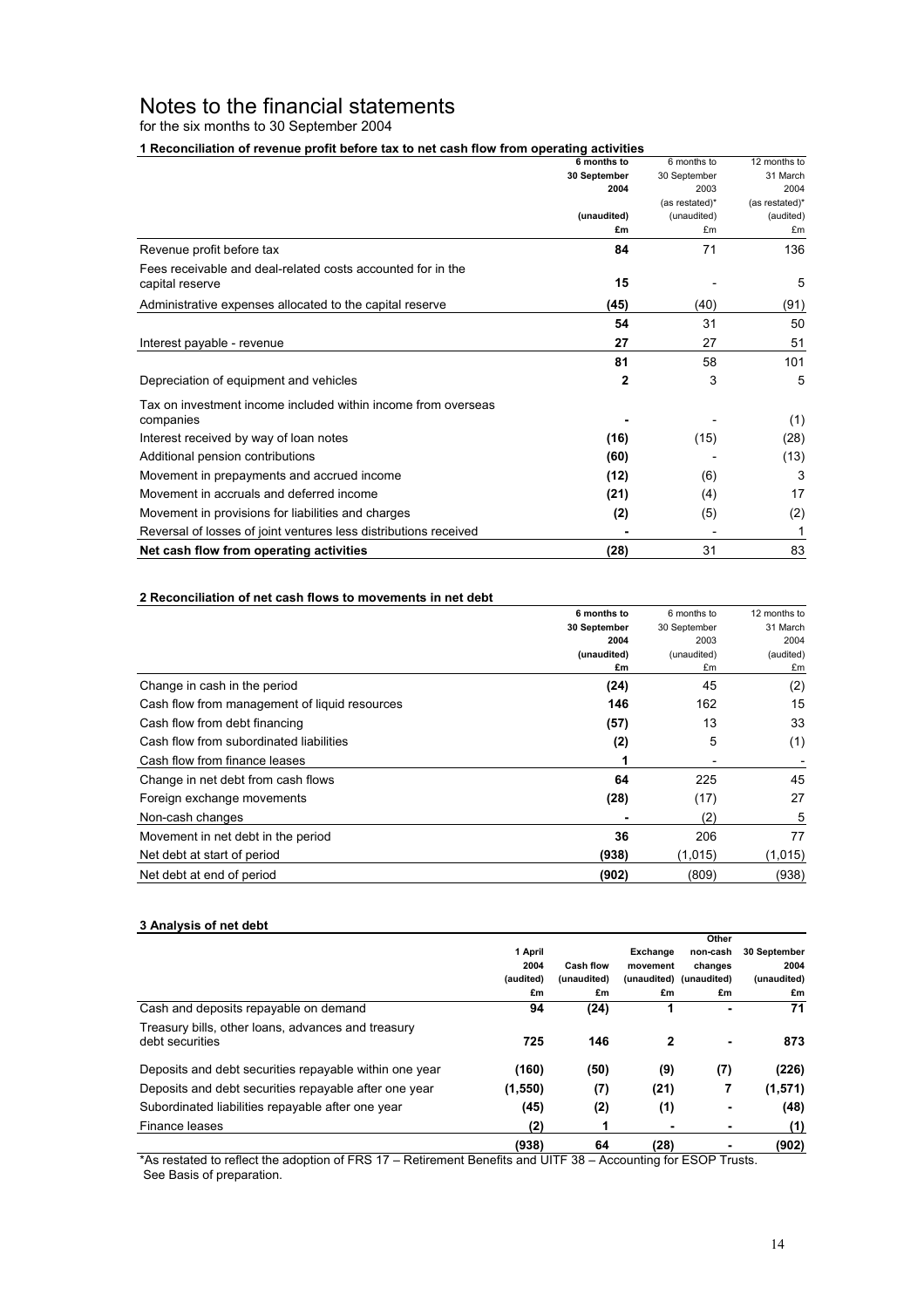## Notes to the financial statements

for the six months to 30 September 2004

**1 Reconciliation of revenue profit before tax to net cash flow from operating activities**

|                                                                  | 6 months to  | 6 months to    | 12 months to   |
|------------------------------------------------------------------|--------------|----------------|----------------|
|                                                                  | 30 September | 30 September   | 31 March       |
|                                                                  | 2004         | 2003           | 2004           |
|                                                                  |              | (as restated)* | (as restated)* |
|                                                                  | (unaudited)  | (unaudited)    | (audited)      |
|                                                                  | £m           | £m             | £m             |
| Revenue profit before tax                                        | 84           | 71             | 136            |
| Fees receivable and deal-related costs accounted for in the      |              |                |                |
| capital reserve                                                  | 15           |                | 5              |
| Administrative expenses allocated to the capital reserve         | (45)         | (40)           | (91)           |
|                                                                  | 54           | 31             | 50             |
| Interest payable - revenue                                       | 27           | 27             | 51             |
|                                                                  | 81           | 58             | 101            |
| Depreciation of equipment and vehicles                           | $\mathbf{2}$ | 3              | 5              |
| Tax on investment income included within income from overseas    |              |                |                |
| companies                                                        |              |                | (1)            |
| Interest received by way of loan notes                           | (16)         | (15)           | (28)           |
| Additional pension contributions                                 | (60)         |                | (13)           |
| Movement in prepayments and accrued income                       | (12)         | (6)            | 3              |
| Movement in accruals and deferred income                         | (21)         | (4)            | 17             |
| Movement in provisions for liabilities and charges               | (2)          | (5)            | (2)            |
| Reversal of losses of joint ventures less distributions received |              |                | 1              |
| Net cash flow from operating activities                          | (28)         | 31             | 83             |

#### **2 Reconciliation of net cash flows to movements in net debt**

|                                               | 6 months to  | 6 months to  | 12 months to |
|-----------------------------------------------|--------------|--------------|--------------|
|                                               | 30 September | 30 September | 31 March     |
|                                               | 2004         | 2003         | 2004         |
|                                               | (unaudited)  | (unaudited)  | (audited)    |
|                                               | £m           | £m           | £m           |
| Change in cash in the period                  | (24)         | 45           | (2)          |
| Cash flow from management of liquid resources | 146          | 162          | 15           |
| Cash flow from debt financing                 | (57)         | 13           | 33           |
| Cash flow from subordinated liabilities       | (2)          | 5            | (1)          |
| Cash flow from finance leases                 |              |              |              |
| Change in net debt from cash flows            | 64           | 225          | 45           |
| Foreign exchange movements                    | (28)         | (17)         | 27           |
| Non-cash changes                              |              | (2)          | 5            |
| Movement in net debt in the period            | 36           | 206          | 77           |
| Net debt at start of period                   | (938)        | (1,015)      | (1,015)      |
| Net debt at end of period                     | (902)        | (809)        | (938)        |

#### **3 Analysis of net debt**

|                                                                       |           |                  |          | Other                   |              |
|-----------------------------------------------------------------------|-----------|------------------|----------|-------------------------|--------------|
|                                                                       | 1 April   |                  | Exchange | non-cash                | 30 September |
|                                                                       | 2004      | <b>Cash flow</b> | movement | changes                 | 2004         |
|                                                                       | (audited) | (unaudited)      |          | (unaudited) (unaudited) | (unaudited)  |
|                                                                       | £m        | £m               | £m       | £m                      | £m           |
| Cash and deposits repayable on demand                                 | 94        | (24)             |          |                         | 71           |
| Treasury bills, other loans, advances and treasury<br>debt securities | 725       | 146              | 2        | ۰                       | 873          |
| Deposits and debt securities repayable within one year                | (160)     | (50)             | (9)      | (7)                     | (226)        |
| Deposits and debt securities repayable after one year                 | (1, 550)  | (7)              | (21)     | 7                       | (1,571)      |
| Subordinated liabilities repayable after one year                     | (45)      | (2)              | (1)      |                         | (48)         |
| Finance leases                                                        | (2)       | 1                |          |                         | (1)          |
|                                                                       | (938)     | 64               | (28)     |                         | (902)        |

\*As restated to reflect the adoption of FRS 17 – Retirement Benefits and UITF 38 – Accounting for ESOP Trusts. See Basis of preparation.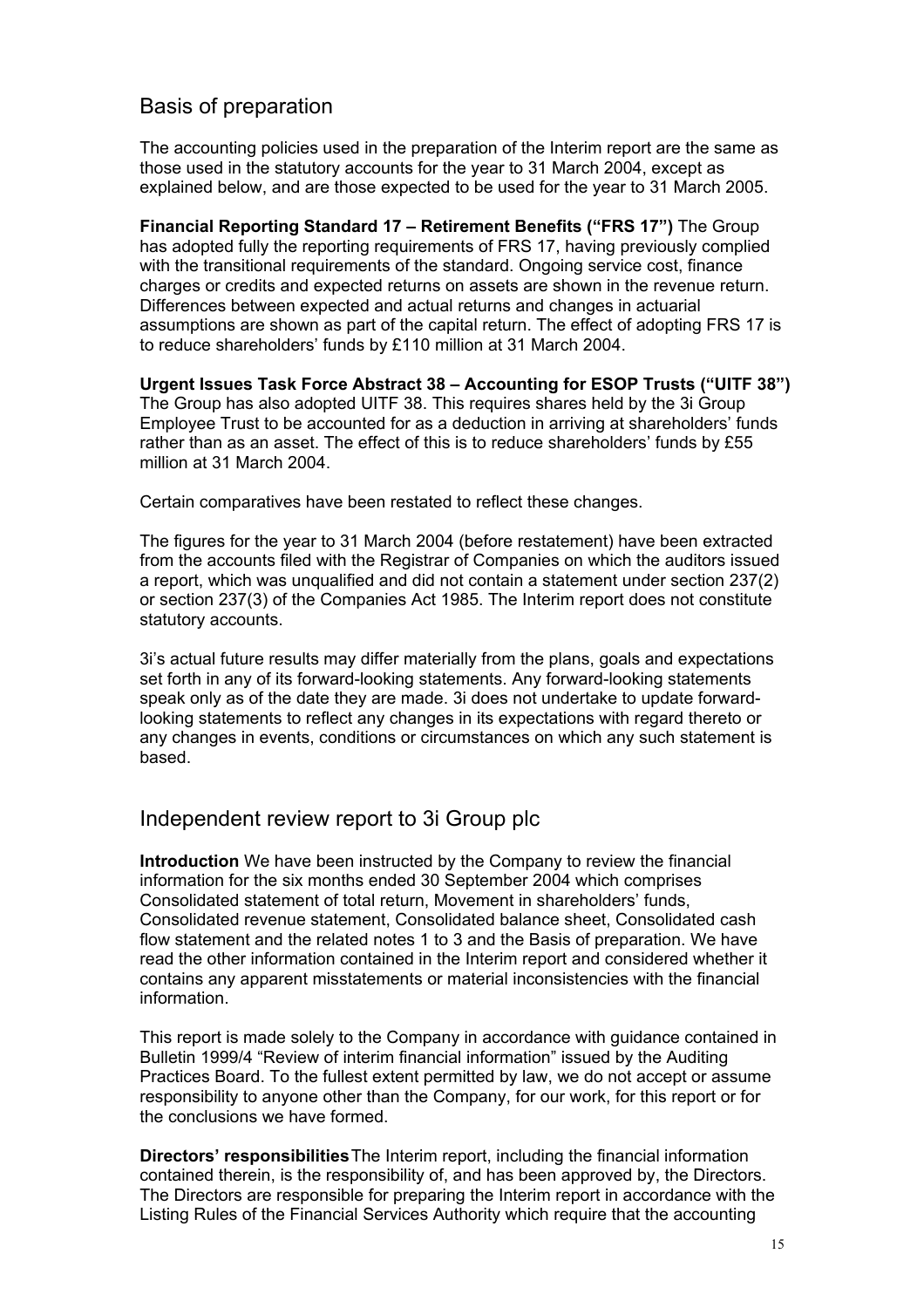# Basis of preparation

The accounting policies used in the preparation of the Interim report are the same as those used in the statutory accounts for the year to 31 March 2004, except as explained below, and are those expected to be used for the year to 31 March 2005.

**Financial Reporting Standard 17 – Retirement Benefits ("FRS 17")** The Group has adopted fully the reporting requirements of FRS 17, having previously complied with the transitional requirements of the standard. Ongoing service cost, finance charges or credits and expected returns on assets are shown in the revenue return. Differences between expected and actual returns and changes in actuarial assumptions are shown as part of the capital return. The effect of adopting FRS 17 is to reduce shareholders' funds by £110 million at 31 March 2004.

**Urgent Issues Task Force Abstract 38 – Accounting for ESOP Trusts ("UITF 38")**  The Group has also adopted UITF 38. This requires shares held by the 3i Group Employee Trust to be accounted for as a deduction in arriving at shareholders' funds rather than as an asset. The effect of this is to reduce shareholders' funds by £55 million at 31 March 2004.

Certain comparatives have been restated to reflect these changes.

The figures for the year to 31 March 2004 (before restatement) have been extracted from the accounts filed with the Registrar of Companies on which the auditors issued a report, which was unqualified and did not contain a statement under section 237(2) or section 237(3) of the Companies Act 1985. The Interim report does not constitute statutory accounts.

3i's actual future results may differ materially from the plans, goals and expectations set forth in any of its forward-looking statements. Any forward-looking statements speak only as of the date they are made. 3i does not undertake to update forwardlooking statements to reflect any changes in its expectations with regard thereto or any changes in events, conditions or circumstances on which any such statement is based.

### Independent review report to 3i Group plc

**Introduction** We have been instructed by the Company to review the financial information for the six months ended 30 September 2004 which comprises Consolidated statement of total return, Movement in shareholders' funds, Consolidated revenue statement, Consolidated balance sheet, Consolidated cash flow statement and the related notes 1 to 3 and the Basis of preparation. We have read the other information contained in the Interim report and considered whether it contains any apparent misstatements or material inconsistencies with the financial information.

This report is made solely to the Company in accordance with guidance contained in Bulletin 1999/4 "Review of interim financial information" issued by the Auditing Practices Board. To the fullest extent permitted by law, we do not accept or assume responsibility to anyone other than the Company, for our work, for this report or for the conclusions we have formed.

**Directors' responsibilities** The Interim report, including the financial information contained therein, is the responsibility of, and has been approved by, the Directors. The Directors are responsible for preparing the Interim report in accordance with the Listing Rules of the Financial Services Authority which require that the accounting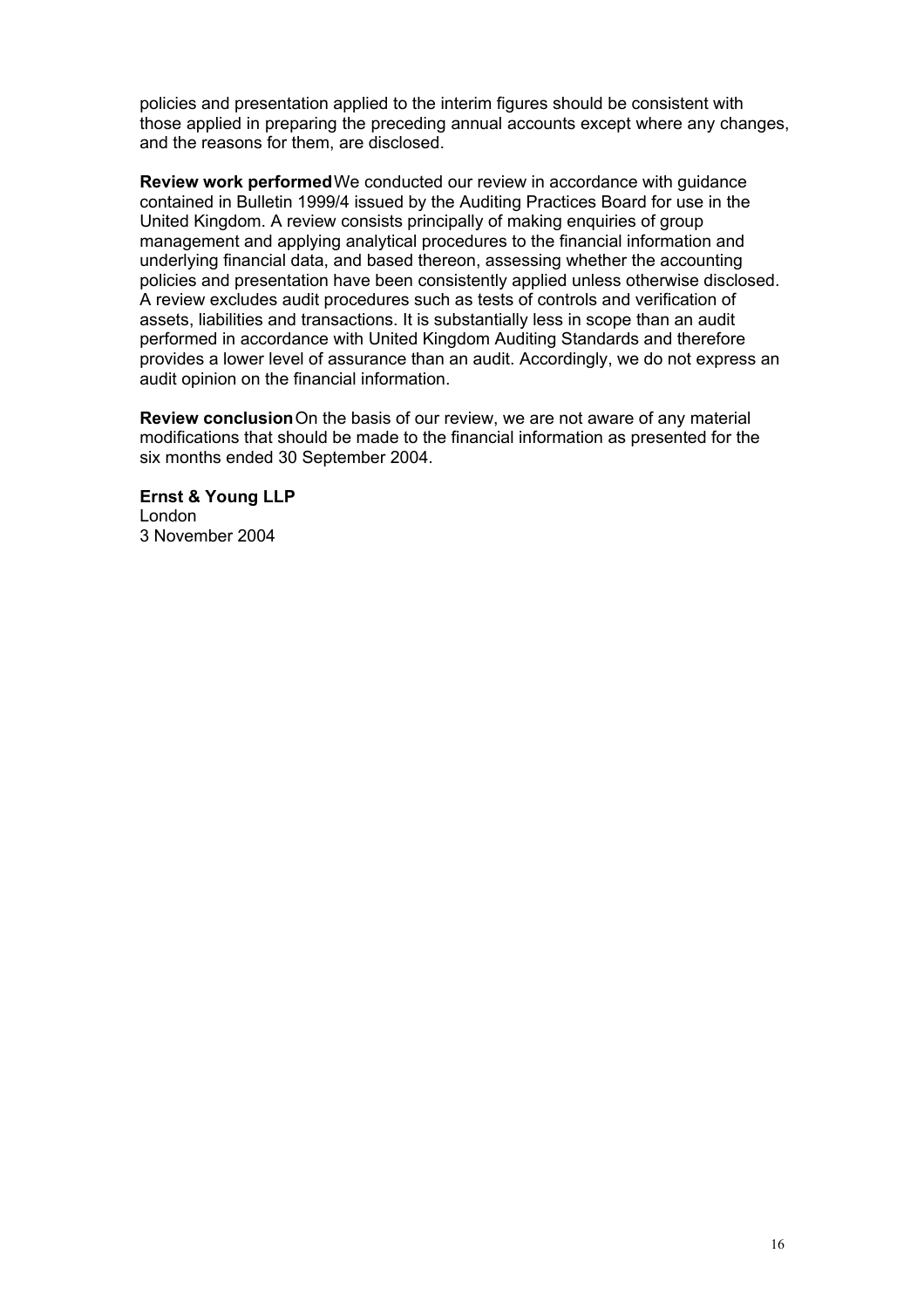policies and presentation applied to the interim figures should be consistent with those applied in preparing the preceding annual accounts except where any changes, and the reasons for them, are disclosed.

**Review work performed**We conducted our review in accordance with guidance contained in Bulletin 1999/4 issued by the Auditing Practices Board for use in the United Kingdom. A review consists principally of making enquiries of group management and applying analytical procedures to the financial information and underlying financial data, and based thereon, assessing whether the accounting policies and presentation have been consistently applied unless otherwise disclosed. A review excludes audit procedures such as tests of controls and verification of assets, liabilities and transactions. It is substantially less in scope than an audit performed in accordance with United Kingdom Auditing Standards and therefore provides a lower level of assurance than an audit. Accordingly, we do not express an audit opinion on the financial information.

**Review conclusion** On the basis of our review, we are not aware of any material modifications that should be made to the financial information as presented for the six months ended 30 September 2004.

**Ernst & Young LLP** London 3 November 2004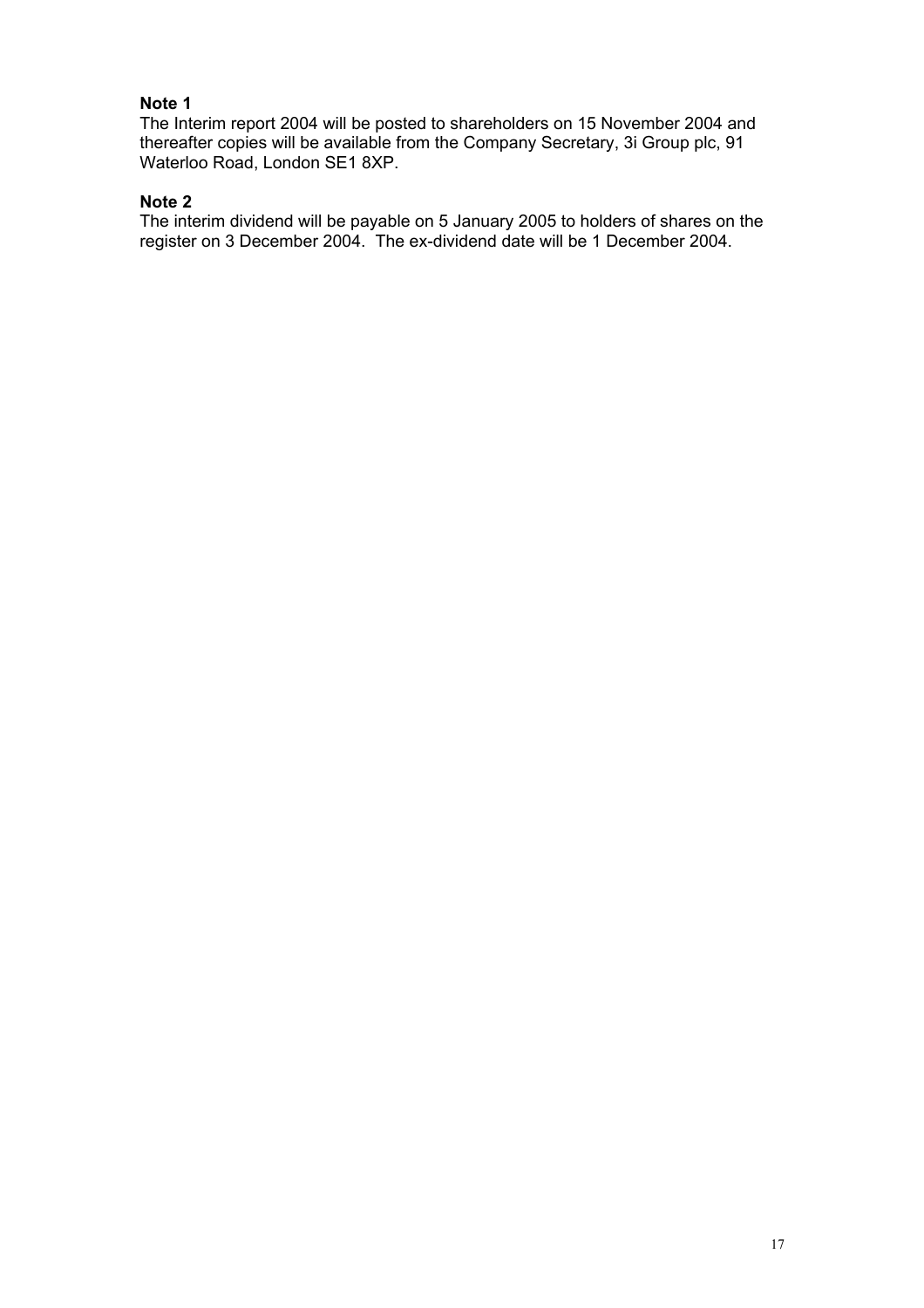### **Note 1**

The Interim report 2004 will be posted to shareholders on 15 November 2004 and thereafter copies will be available from the Company Secretary, 3i Group plc, 91 Waterloo Road, London SE1 8XP.

### **Note 2**

The interim dividend will be payable on 5 January 2005 to holders of shares on the register on 3 December 2004. The ex-dividend date will be 1 December 2004.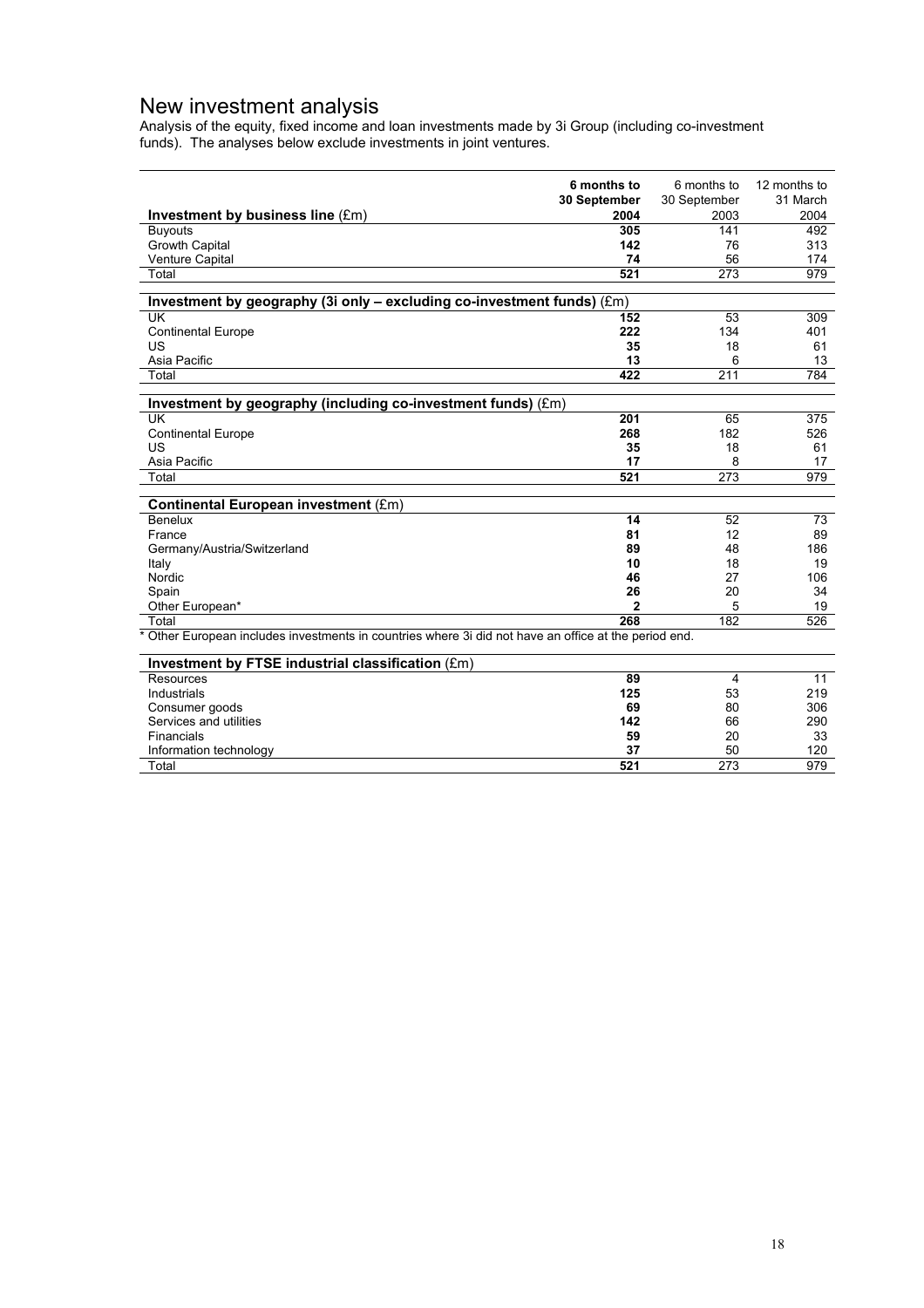### New investment analysis

Analysis of the equity, fixed income and loan investments made by 3i Group (including co-investment funds). The analyses below exclude investments in joint ventures.

|                                                                                                                | 6 months to  | 6 months to      | 12 months to |
|----------------------------------------------------------------------------------------------------------------|--------------|------------------|--------------|
|                                                                                                                | 30 September | 30 September     | 31 March     |
| Investment by business line (£m)                                                                               | 2004         | 2003             | 2004         |
| <b>Buyouts</b>                                                                                                 | 305          | 141              | 492          |
| <b>Growth Capital</b>                                                                                          | 142          | 76               | 313          |
| Venture Capital                                                                                                | 74           | 56               | 174          |
| Total                                                                                                          | 521          | $\overline{273}$ | 979          |
|                                                                                                                |              |                  |              |
| Investment by geography (3i only - excluding co-investment funds) (£m)                                         |              |                  |              |
| UK                                                                                                             | 152          | 53               | 309          |
| <b>Continental Europe</b>                                                                                      | 222          | 134              | 401          |
| US                                                                                                             | 35           | 18               | 61           |
| Asia Pacific                                                                                                   | 13           | 6                | 13           |
| Total                                                                                                          | 422          | 211              | 784          |
|                                                                                                                |              |                  |              |
| Investment by geography (including co-investment funds) (£m)                                                   |              |                  |              |
| <b>UK</b>                                                                                                      | 201          | 65               | 375          |
| <b>Continental Europe</b>                                                                                      | 268          | 182              | 526          |
| US                                                                                                             | 35           | 18               | 61           |
| Asia Pacific                                                                                                   | 17           | 8                | 17           |
| Total                                                                                                          | 521          | 273              | 979          |
|                                                                                                                |              |                  |              |
| Continental European investment (£m)                                                                           |              |                  |              |
| Benelux                                                                                                        | 14           | 52               | 73           |
| France                                                                                                         | 81           | 12               | 89           |
| Germany/Austria/Switzerland                                                                                    | 89           | 48               | 186          |
| Italy                                                                                                          | 10           | 18               | 19           |
| Nordic                                                                                                         | 46           | 27               | 106          |
| Spain                                                                                                          | 26           | 20               | 34           |
| Other European*                                                                                                | $\mathbf{2}$ | 5                | 19           |
| Total                                                                                                          | 268          | 182              | 526          |
| Other European includes investments in countries where 3i did not have an office at the period end.<br>$\star$ |              |                  |              |
|                                                                                                                |              |                  |              |
| Investment by FTSE industrial classification (£m)                                                              |              |                  |              |
| <b>Resources</b>                                                                                               | 89           | 4                | 11           |
| Industrials                                                                                                    | 125          | 53               | 219          |
| Consumer goods                                                                                                 | 69           | 80               | 306          |
| Services and utilities                                                                                         | 142          | 66               | 290          |
| Financials                                                                                                     | 59           | 20               | 33           |
| Information technology                                                                                         | 37           | 50               | 120          |

Total **521** 273 979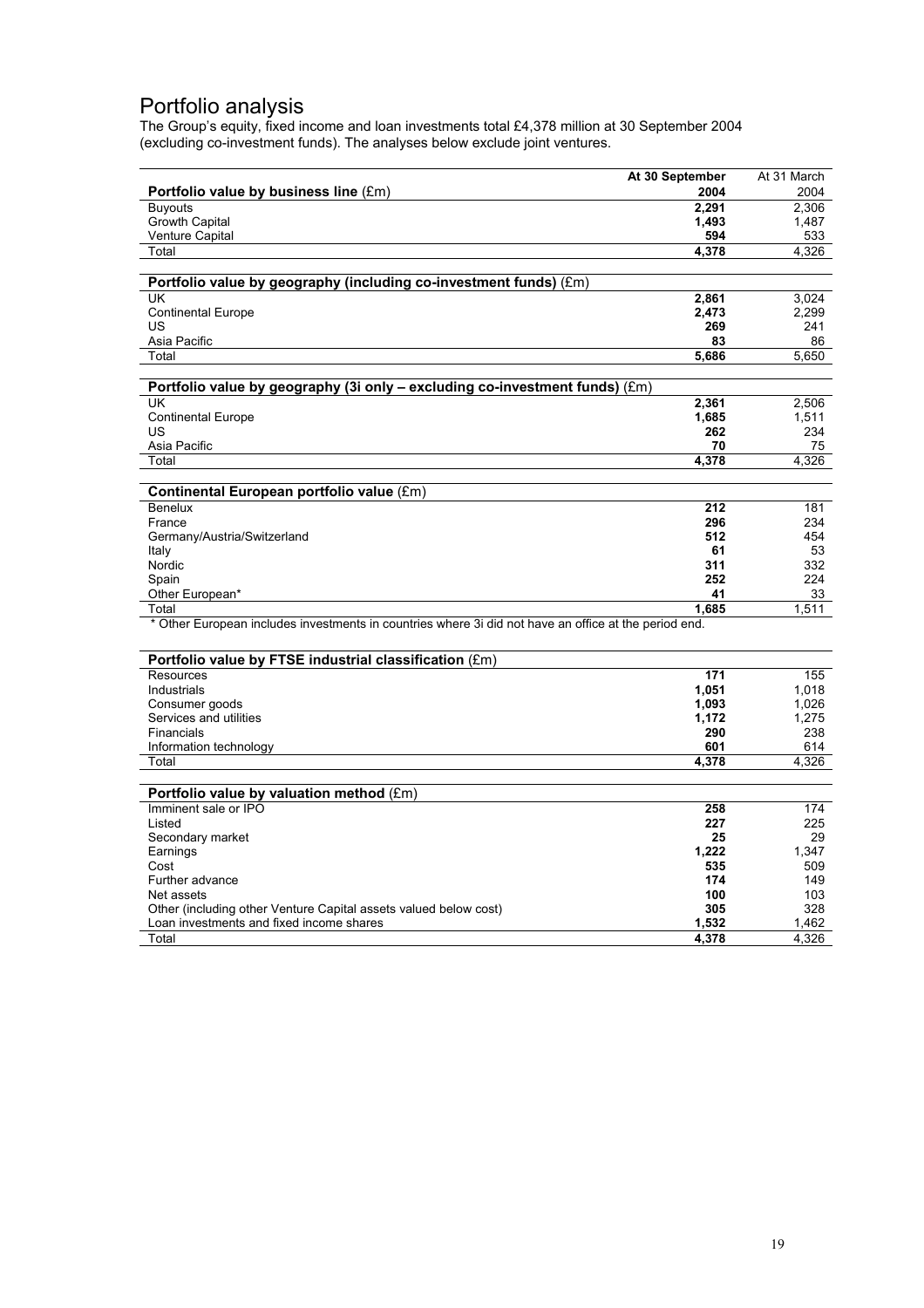### Portfolio analysis

The Group's equity, fixed income and loan investments total £4,378 million at 30 September 2004 (excluding co-investment funds). The analyses below exclude joint ventures.

|                                                                                                       | At 30 September | At 31 March    |
|-------------------------------------------------------------------------------------------------------|-----------------|----------------|
| Portfolio value by business line (£m)                                                                 | 2004            | 2004           |
| <b>Buyouts</b>                                                                                        | 2,291           | 2,306          |
| <b>Growth Capital</b>                                                                                 | 1.493           | 1.487          |
| <b>Venture Capital</b>                                                                                | 594             | 533            |
| Total                                                                                                 | 4,378           | 4,326          |
|                                                                                                       |                 |                |
| Portfolio value by geography (including co-investment funds) (£m)                                     |                 |                |
| UK                                                                                                    | 2,861           | 3,024          |
| <b>Continental Europe</b>                                                                             | 2,473           | 2,299          |
| US                                                                                                    | 269             | 241            |
| Asia Pacific                                                                                          | 83              | 86             |
| Total                                                                                                 | 5.686           | 5.650          |
|                                                                                                       |                 |                |
| Portfolio value by geography (3i only - excluding co-investment funds) (£m)<br>UK                     |                 |                |
|                                                                                                       | 2,361<br>1,685  | 2.506<br>1,511 |
| <b>Continental Europe</b><br>US                                                                       | 262             | 234            |
| Asia Pacific                                                                                          | 70              | 75             |
| Total                                                                                                 | 4.378           | 4.326          |
|                                                                                                       |                 |                |
| Continental European portfolio value (£m)                                                             |                 |                |
| Benelux                                                                                               | 212             | 181            |
| France                                                                                                | 296             | 234            |
| Germany/Austria/Switzerland                                                                           | 512             | 454            |
| Italy                                                                                                 | 61              | 53             |
| Nordic                                                                                                | 311             | 332            |
| Spain                                                                                                 | 252             | 224            |
| Other European*                                                                                       | 41              | 33             |
| Total                                                                                                 | 1.685           | 1,511          |
| * Other European includes investments in countries where 3i did not have an office at the period end. |                 |                |
|                                                                                                       |                 |                |
| Portfolio value by FTSE industrial classification (£m)                                                |                 |                |
| <b>Resources</b>                                                                                      | 171             | 155            |
| Industrials                                                                                           | 1,051           | 1,018          |
| Consumer goods                                                                                        | 1,093           | 1,026          |
| Services and utilities<br>Financials                                                                  | 1,172<br>290    | 1,275<br>238   |
| Information technology                                                                                | 601             | 614            |
| Total                                                                                                 | 4,378           | 4,326          |
|                                                                                                       |                 |                |
| Portfolio value by valuation method (£m)                                                              |                 |                |
| Imminent sale or IPO                                                                                  | 258             | 174            |
| Listed                                                                                                | 227             | 225            |
| Secondary market                                                                                      | 25              | 29             |
| Earnings                                                                                              | 1,222           | 1,347          |
| Cost                                                                                                  | 535             | 509            |
| Further advance                                                                                       | 174             | 149            |
| Net assets                                                                                            | 100             | 103            |
| Other (including other Venture Capital assets valued below cost)                                      | 305             | 328            |
| Loan investments and fixed income shares                                                              | 1,532           | 1,462          |
| Total                                                                                                 | 4,378           | 4,326          |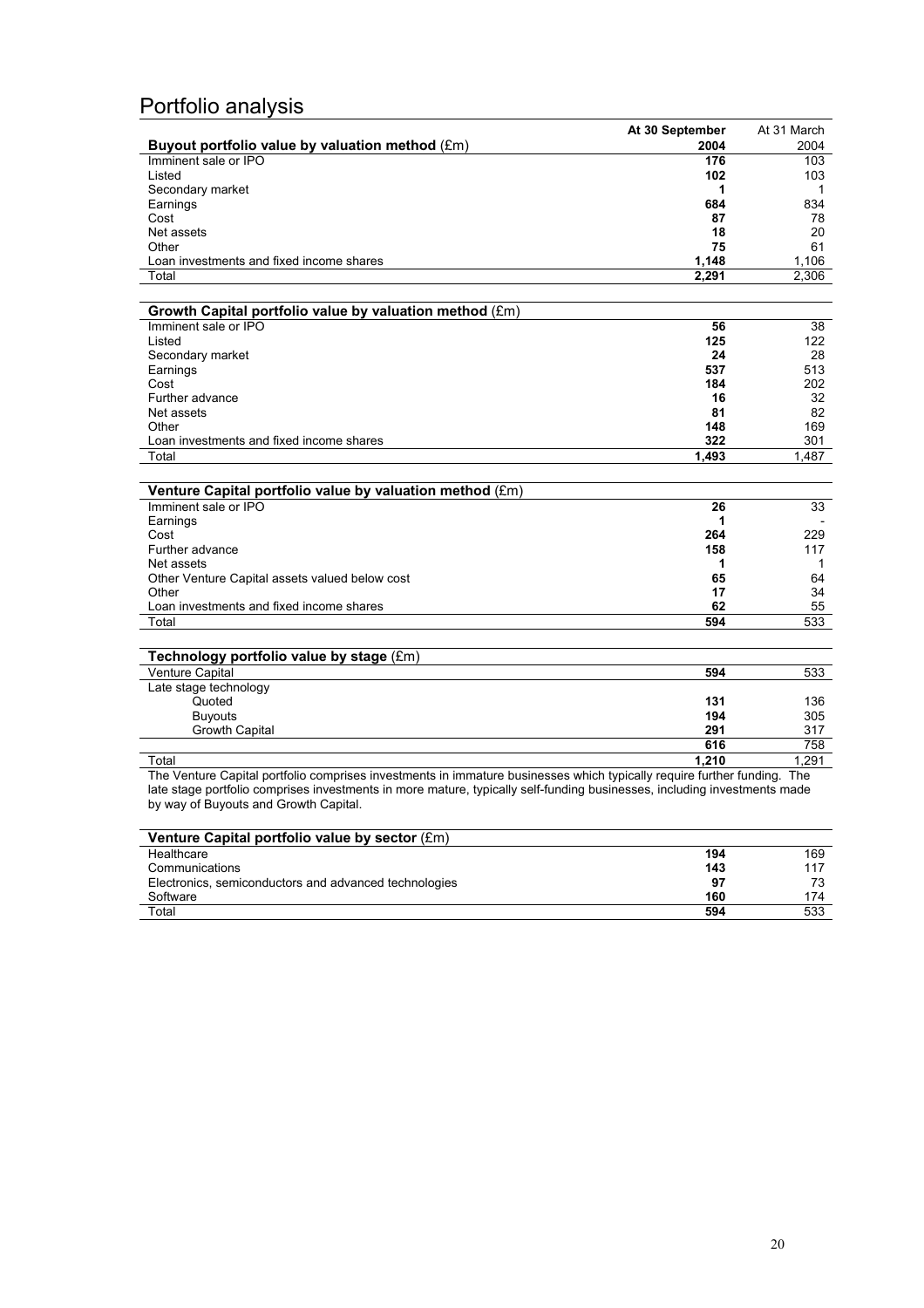# Portfolio analysis

|                                                                                                                          | At 30 September | At 31 March |
|--------------------------------------------------------------------------------------------------------------------------|-----------------|-------------|
| Buyout portfolio value by valuation method (£m)                                                                          | 2004            | 2004        |
| Imminent sale or IPO                                                                                                     | 176             | 103         |
| Listed                                                                                                                   | 102             | 103         |
| Secondary market                                                                                                         | 1               | 1           |
| Earnings                                                                                                                 | 684             | 834         |
| Cost                                                                                                                     | 87              | 78          |
| Net assets                                                                                                               | 18              | 20          |
| Other                                                                                                                    | 75              | 61          |
| Loan investments and fixed income shares                                                                                 | 1,148           | 1,106       |
| Total                                                                                                                    | 2,291           | 2,306       |
|                                                                                                                          |                 |             |
| Growth Capital portfolio value by valuation method (£m)                                                                  |                 |             |
| Imminent sale or IPO                                                                                                     | 56              | 38          |
| Listed                                                                                                                   | 125             | 122         |
| Secondary market                                                                                                         | 24              | 28          |
| Earnings                                                                                                                 | 537             | 513         |
| Cost                                                                                                                     | 184             | 202         |
| Further advance                                                                                                          | 16              | 32          |
| Net assets                                                                                                               | 81              | 82          |
| Other                                                                                                                    | 148             | 169         |
| Loan investments and fixed income shares                                                                                 | 322             | 301         |
| Total                                                                                                                    | 1,493           | 1,487       |
| Venture Capital portfolio value by valuation method (£m)                                                                 |                 |             |
| Imminent sale or IPO                                                                                                     | 26              | 33          |
| Earnings                                                                                                                 | 1               |             |
| Cost                                                                                                                     | 264             | 229         |
| Further advance                                                                                                          | 158             | 117         |
| Net assets                                                                                                               | 1               | 1           |
| Other Venture Capital assets valued below cost                                                                           | 65              | 64          |
| Other                                                                                                                    | 17              | 34          |
| Loan investments and fixed income shares                                                                                 | 62              | 55          |
| Total                                                                                                                    | 594             | 533         |
|                                                                                                                          |                 |             |
| Technology portfolio value by stage (£m)                                                                                 |                 |             |
| Venture Capital                                                                                                          | 594             | 533         |
| Late stage technology                                                                                                    |                 |             |
| Quoted                                                                                                                   | 131             | 136         |
| <b>Buyouts</b>                                                                                                           | 194             | 305         |
| Growth Capital                                                                                                           | 291             | 317         |
|                                                                                                                          | 616             | 758         |
| Total                                                                                                                    | 1.210           | 1.291       |
| The Venture Capital portfolio comprises investments in immature businesses which typically require further funding. The  |                 |             |
| late stage portfolio comprises investments in more mature, typically self-funding businesses, including investments made |                 |             |
| by way of Buyouts and Growth Capital.                                                                                    |                 |             |

| Venture Capital portfolio value by sector (£m)        |     |     |
|-------------------------------------------------------|-----|-----|
| Healthcare                                            | 194 | 169 |
| Communications                                        | 143 | 117 |
| Electronics, semiconductors and advanced technologies | 97  |     |
| Software                                              | 160 | 174 |
|                                                       |     |     |
| Total                                                 | 594 | 533 |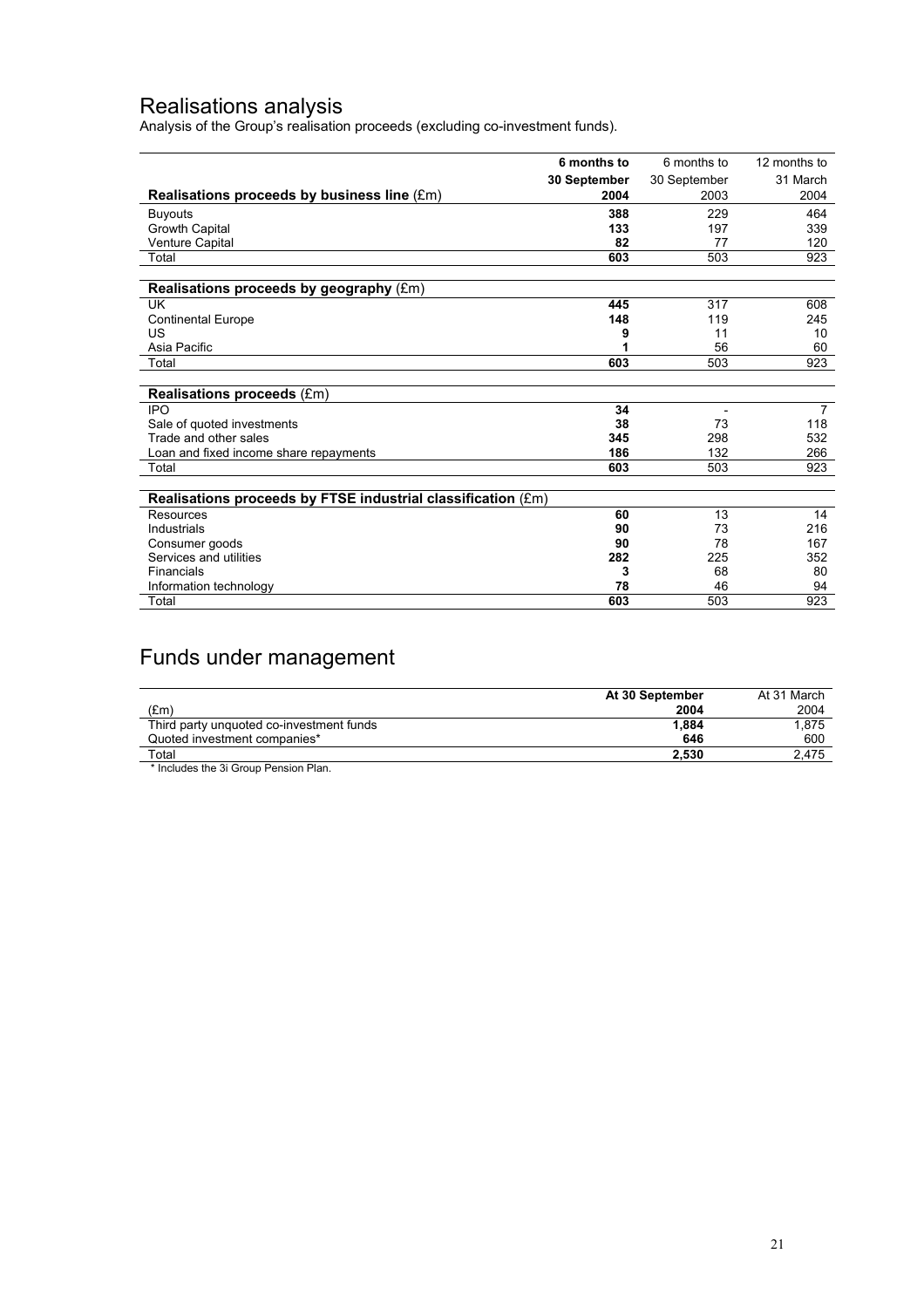### Realisations analysis

Analysis of the Group's realisation proceeds (excluding co-investment funds).

|                                                              | 6 months to  | 6 months to              | 12 months to   |
|--------------------------------------------------------------|--------------|--------------------------|----------------|
|                                                              | 30 September | 30 September             | 31 March       |
| Realisations proceeds by business line $(\text{\pounds}m)$   | 2004         | 2003                     | 2004           |
| <b>Buyouts</b>                                               | 388          | 229                      | 464            |
| Growth Capital                                               | 133          | 197                      | 339            |
| Venture Capital                                              | 82           | 77                       | 120            |
| Total                                                        | 603          | 503                      | 923            |
|                                                              |              |                          |                |
| Realisations proceeds by geography (£m)                      |              |                          |                |
| <b>UK</b>                                                    | 445          | 317                      | 608            |
| <b>Continental Europe</b>                                    | 148          | 119                      | 245            |
| US                                                           | 9            | 11                       | 10             |
| Asia Pacific                                                 |              | 56                       | 60             |
| Total                                                        | 603          | 503                      | 923            |
|                                                              |              |                          |                |
| <b>Realisations proceeds (£m)</b>                            |              |                          |                |
| <b>IPO</b>                                                   | 34           | $\overline{\phantom{a}}$ | $\overline{7}$ |
| Sale of quoted investments                                   | 38           | 73                       | 118            |
| Trade and other sales                                        | 345          | 298                      | 532            |
| Loan and fixed income share repayments                       | 186          | 132                      | 266            |
| Total                                                        | 603          | 503                      | 923            |
|                                                              |              |                          |                |
| Realisations proceeds by FTSE industrial classification (£m) |              |                          |                |
| Resources                                                    | 60           | 13                       | 14             |
| Industrials                                                  | 90           | 73                       | 216            |
| Consumer goods                                               | 90           | 78                       | 167            |
| Services and utilities                                       | 282          | 225                      | 352            |
| <b>Financials</b>                                            | 3            | 68                       | 80             |
| Information technology                                       | 78           | 46                       | 94             |
| Total                                                        | 603          | 503                      | 923            |

# Funds under management

| At 30 September | At 31 March |
|-----------------|-------------|
| 2004            | 2004        |
| 1.884           | 1.875       |
| 646             | 600         |
| 2.530           | 2.475       |
|                 |             |

\* Includes the 3i Group Pension Plan.